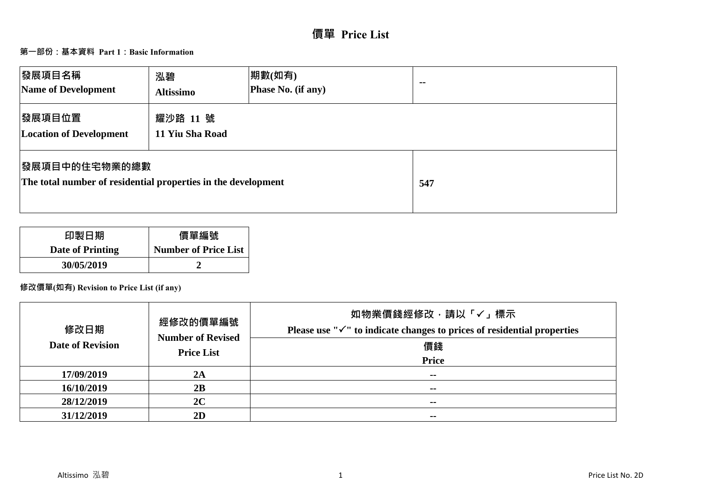# **價單 Price List**

## **第一部份:基本資料 Part 1:Basic Information**

| 發展項目名稱<br>Name of Development                                                          | 泓碧<br><b>Altissimo</b>      | 期數(如有)<br>Phase No. (if any) | $\sim$ $\sim$ |
|----------------------------------------------------------------------------------------|-----------------------------|------------------------------|---------------|
| 發展項目位置<br><b>Location of Development</b>                                               | 耀沙路 11 號<br>11 Yiu Sha Road |                              |               |
| <b> 發展項目中的住宅物業的總數</b><br>The total number of residential properties in the development |                             |                              | 547           |

| 印製日期             | 價單編號                        |
|------------------|-----------------------------|
| Date of Printing | <b>Number of Price List</b> |
| 30/05/2019       |                             |

## **修改價單(如有) Revision to Price List (if any)**

| 修改日期<br><b>Date of Revision</b> | 經修改的價單編號<br><b>Number of Revised</b><br><b>Price List</b> | 如物業價錢經修改,請以「√」標示<br>Please use " $\checkmark$ " to indicate changes to prices of residential properties<br>價錢<br><b>Price</b> |
|---------------------------------|-----------------------------------------------------------|-------------------------------------------------------------------------------------------------------------------------------|
| 17/09/2019                      | 2A                                                        | --                                                                                                                            |
| 16/10/2019                      | 2B                                                        | --                                                                                                                            |
| 28/12/2019                      | 2C                                                        | $\sim$ $\sim$                                                                                                                 |
| 31/12/2019                      | 2D                                                        | $\sim$                                                                                                                        |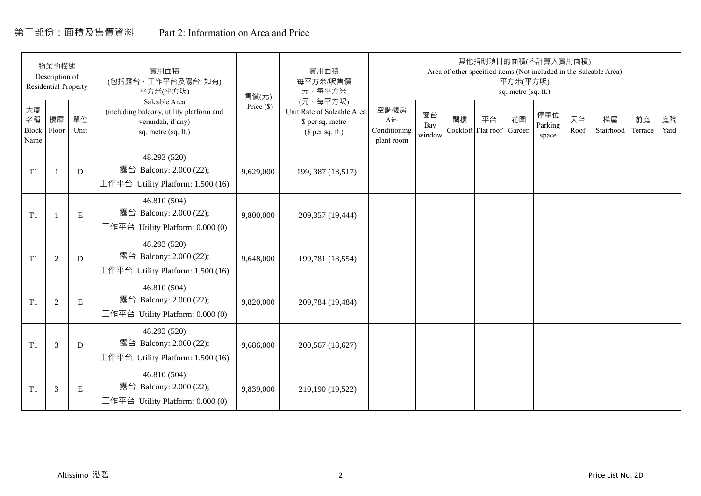# 第二部份:面積及售價資料 Part 2: Information on Area and Price

|                           | 物業的描述<br>Description of<br><b>Residential Property</b> |             | 實用面積<br>(包括露台, 工作平台及陽台 如有)<br>平方米(平方呎)                                                                | 售價(元)      | 實用面積<br>每平方米/呎售價<br>元·每平方米                                                     |                                            |                     |    | 其他指明項目的面積(不計算入實用面積)      | 平方米(平方呎)<br>sq. metre (sq. ft.) |                         |            | Area of other specified items (Not included in the Saleable Area) |               |            |
|---------------------------|--------------------------------------------------------|-------------|-------------------------------------------------------------------------------------------------------|------------|--------------------------------------------------------------------------------|--------------------------------------------|---------------------|----|--------------------------|---------------------------------|-------------------------|------------|-------------------------------------------------------------------|---------------|------------|
| 大廈<br>名稱<br>Block<br>Name | 樓層<br>Floor                                            | 單位<br>Unit  | Saleable Area<br>(including balcony, utility platform and<br>verandah, if any)<br>sq. metre (sq. ft.) | Price (\$) | (元·每平方呎)<br>Unit Rate of Saleable Area<br>\$ per sq. metre<br>$$$ per sq. ft.) | 空調機房<br>Air-<br>Conditioning<br>plant room | 窗台<br>Bay<br>window | 閣樓 | 平台<br>Cockloft Flat roof | 花園<br>Garden                    | 停車位<br>Parking<br>space | 天台<br>Roof | 梯屋<br>Stairhood                                                   | 前庭<br>Terrace | 庭院<br>Yard |
| T1                        |                                                        | D           | 48.293 (520)<br>露台 Balcony: 2.000 (22);<br>工作平台 Utility Platform: 1.500 (16)                          | 9,629,000  | 199, 387 (18,517)                                                              |                                            |                     |    |                          |                                 |                         |            |                                                                   |               |            |
| T1                        |                                                        | ${\bf E}$   | 46.810 (504)<br>露台 Balcony: 2.000 (22);<br>工作平台 Utility Platform: $0.000(0)$                          | 9,800,000  | 209,357 (19,444)                                                               |                                            |                     |    |                          |                                 |                         |            |                                                                   |               |            |
| T1                        | $\overline{2}$                                         | $\mathbf D$ | 48.293 (520)<br>露台 Balcony: 2.000 (22);<br>工作平台 Utility Platform: 1.500 (16)                          | 9,648,000  | 199,781 (18,554)                                                               |                                            |                     |    |                          |                                 |                         |            |                                                                   |               |            |
| T1                        | 2                                                      | E           | 46.810 (504)<br>露台 Balcony: 2.000 (22);<br>工作平台 Utility Platform: 0.000 (0)                           | 9,820,000  | 209,784 (19,484)                                                               |                                            |                     |    |                          |                                 |                         |            |                                                                   |               |            |
| T1                        | 3                                                      | D           | 48.293 (520)<br>露台 Balcony: 2.000 (22);<br>工作平台 Utility Platform: $1.500(16)$                         | 9,686,000  | 200,567 (18,627)                                                               |                                            |                     |    |                          |                                 |                         |            |                                                                   |               |            |
| T1                        | 3                                                      | Ε           | 46.810 (504)<br>露台 Balcony: 2.000 (22);<br>工作平台 Utility Platform: $0.000(0)$                          | 9,839,000  | 210,190 (19,522)                                                               |                                            |                     |    |                          |                                 |                         |            |                                                                   |               |            |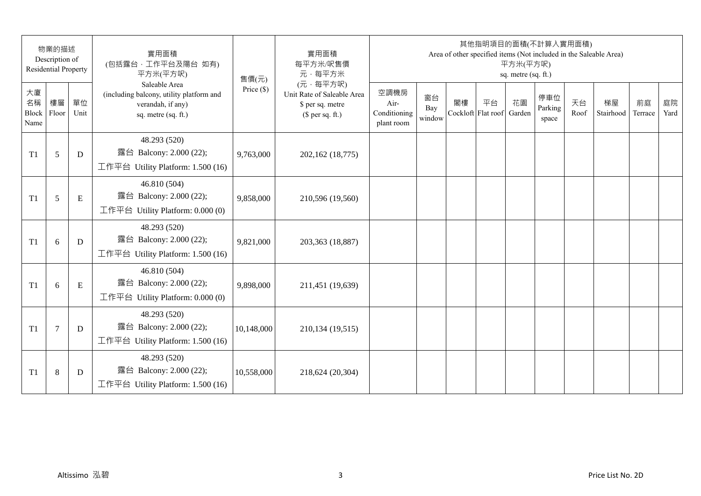|                           | 物業的描述<br>Description of<br><b>Residential Property</b> |            | 實用面積<br>(包括露台,工作平台及陽台 如有)<br>平方米(平方呎)                                                                 | 售價(元)        | 實用面積<br>每平方米/呎售價<br>元·每平方米                                                     |                                            |                     |    | 其他指明項目的面積(不計算入實用面積)      | 平方米(平方呎)<br>sq. metre (sq. ft.) |                         |            | Area of other specified items (Not included in the Saleable Area) |               |            |
|---------------------------|--------------------------------------------------------|------------|-------------------------------------------------------------------------------------------------------|--------------|--------------------------------------------------------------------------------|--------------------------------------------|---------------------|----|--------------------------|---------------------------------|-------------------------|------------|-------------------------------------------------------------------|---------------|------------|
| 大廈<br>名稱<br>Block<br>Name | 樓層<br>Floor                                            | 單位<br>Unit | Saleable Area<br>(including balcony, utility platform and<br>verandah, if any)<br>sq. metre (sq. ft.) | Price $(\$)$ | (元·每平方呎)<br>Unit Rate of Saleable Area<br>\$ per sq. metre<br>$$$ per sq. ft.) | 空調機房<br>Air-<br>Conditioning<br>plant room | 窗台<br>Bay<br>window | 閣樓 | 平台<br>Cockloft Flat roof | 花園<br>Garden                    | 停車位<br>Parking<br>space | 天台<br>Roof | 梯屋<br>Stairhood                                                   | 前庭<br>Terrace | 庭院<br>Yard |
| T <sub>1</sub>            | 5                                                      | D          | 48.293 (520)<br>露台 Balcony: 2.000 (22);<br>工作平台 Utility Platform: 1.500 (16)                          | 9,763,000    | 202,162 (18,775)                                                               |                                            |                     |    |                          |                                 |                         |            |                                                                   |               |            |
| T <sub>1</sub>            | 5                                                      | E          | 46.810 (504)<br>露台 Balcony: 2.000 (22);<br>工作平台 Utility Platform: 0.000 (0)                           | 9,858,000    | 210,596 (19,560)                                                               |                                            |                     |    |                          |                                 |                         |            |                                                                   |               |            |
| T <sub>1</sub>            | 6                                                      | D          | 48.293 (520)<br>露台 Balcony: 2.000 (22);<br>工作平台 Utility Platform: 1.500 (16)                          | 9,821,000    | 203,363 (18,887)                                                               |                                            |                     |    |                          |                                 |                         |            |                                                                   |               |            |
| T1                        | 6                                                      | ${\bf E}$  | 46.810 (504)<br>露台 Balcony: 2.000 (22);<br>工作平台 Utility Platform: 0.000 (0)                           | 9,898,000    | 211,451 (19,639)                                                               |                                            |                     |    |                          |                                 |                         |            |                                                                   |               |            |
| T <sub>1</sub>            | $\overline{7}$                                         | D          | 48.293 (520)<br>露台 Balcony: 2.000 (22);<br>工作平台 Utility Platform: 1.500 (16)                          | 10,148,000   | 210,134 (19,515)                                                               |                                            |                     |    |                          |                                 |                         |            |                                                                   |               |            |
| T <sub>1</sub>            | 8                                                      | D          | 48.293 (520)<br>露台 Balcony: 2.000 (22);<br>工作平台 Utility Platform: $1.500(16)$                         | 10,558,000   | 218,624 (20,304)                                                               |                                            |                     |    |                          |                                 |                         |            |                                                                   |               |            |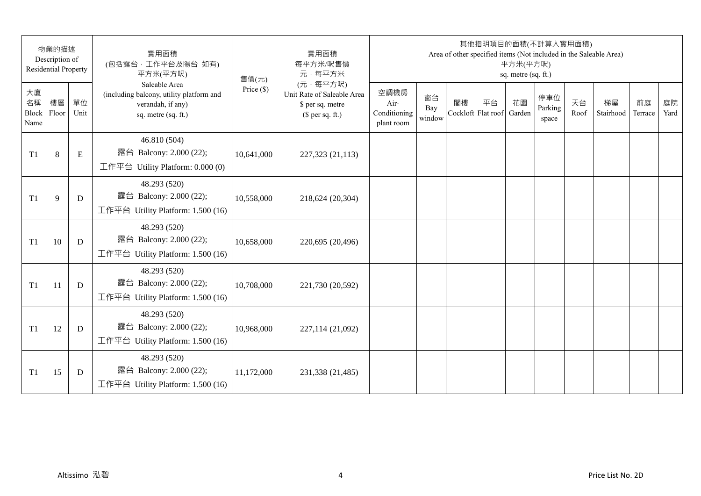|                           | 物業的描述<br>Description of<br><b>Residential Property</b> |            | 實用面積<br>(包括露台,工作平台及陽台 如有)<br>平方米(平方呎)                                                                 | 售價(元)        | 實用面積<br>每平方米/呎售價<br>元·每平方米                                                     |                                            |                     |    | 其他指明項目的面積(不計算入實用面積)      | 平方米(平方呎)<br>sq. metre (sq. ft.) |                         |            | Area of other specified items (Not included in the Saleable Area) |               |            |
|---------------------------|--------------------------------------------------------|------------|-------------------------------------------------------------------------------------------------------|--------------|--------------------------------------------------------------------------------|--------------------------------------------|---------------------|----|--------------------------|---------------------------------|-------------------------|------------|-------------------------------------------------------------------|---------------|------------|
| 大廈<br>名稱<br>Block<br>Name | 樓層<br>Floor                                            | 單位<br>Unit | Saleable Area<br>(including balcony, utility platform and<br>verandah, if any)<br>sq. metre (sq. ft.) | Price $(\$)$ | (元·每平方呎)<br>Unit Rate of Saleable Area<br>\$ per sq. metre<br>$$$ per sq. ft.) | 空調機房<br>Air-<br>Conditioning<br>plant room | 窗台<br>Bay<br>window | 閣樓 | 平台<br>Cockloft Flat roof | 花園<br>Garden                    | 停車位<br>Parking<br>space | 天台<br>Roof | 梯屋<br>Stairhood                                                   | 前庭<br>Terrace | 庭院<br>Yard |
| T <sub>1</sub>            | 8                                                      | E          | 46.810 (504)<br>露台 Balcony: 2.000 (22);<br>工作平台 Utility Platform: 0.000 (0)                           | 10,641,000   | 227,323 (21,113)                                                               |                                            |                     |    |                          |                                 |                         |            |                                                                   |               |            |
| T <sub>1</sub>            | 9                                                      | D          | 48.293 (520)<br>露台 Balcony: 2.000 (22);<br>工作平台 Utility Platform: 1.500 (16)                          | 10,558,000   | 218,624 (20,304)                                                               |                                            |                     |    |                          |                                 |                         |            |                                                                   |               |            |
| T <sub>1</sub>            | 10                                                     | D          | 48.293 (520)<br>露台 Balcony: 2.000 (22);<br>工作平台 Utility Platform: 1.500 (16)                          | 10,658,000   | 220,695 (20,496)                                                               |                                            |                     |    |                          |                                 |                         |            |                                                                   |               |            |
| T <sub>1</sub>            | 11                                                     | D          | 48.293 (520)<br>露台 Balcony: 2.000 (22);<br>工作平台 Utility Platform: 1.500 (16)                          | 10,708,000   | 221,730 (20,592)                                                               |                                            |                     |    |                          |                                 |                         |            |                                                                   |               |            |
| T1                        | 12                                                     | D          | 48.293 (520)<br>露台 Balcony: 2.000 (22);<br>工作平台 Utility Platform: 1.500 (16)                          | 10,968,000   | 227,114 (21,092)                                                               |                                            |                     |    |                          |                                 |                         |            |                                                                   |               |            |
| T <sub>1</sub>            | 15                                                     | D          | 48.293 (520)<br>露台 Balcony: 2.000 (22);<br>工作平台 Utility Platform: $1.500(16)$                         | 11,172,000   | 231,338 (21,485)                                                               |                                            |                     |    |                          |                                 |                         |            |                                                                   |               |            |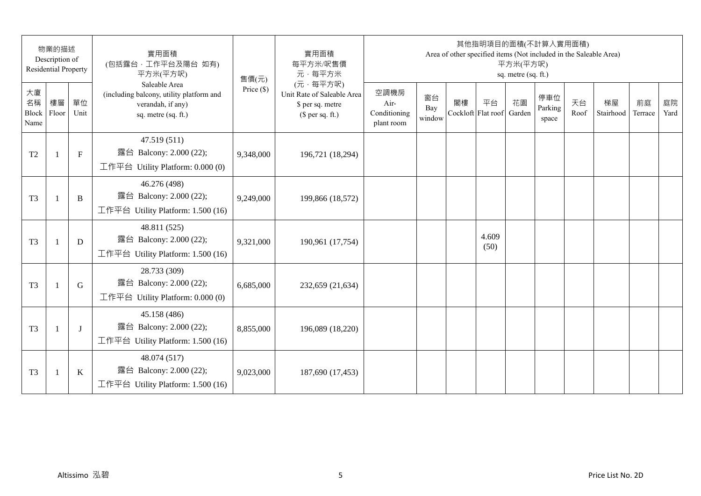|                           | 物業的描述<br>Description of<br><b>Residential Property</b> |              | 實用面積<br>(包括露台,工作平台及陽台 如有)<br>平方米(平方呎)                                                                 | 售價(元)        | 實用面積<br>每平方米/呎售價<br>元·每平方米                                                     |                                            |                     |    | 其他指明項目的面積(不計算入實用面積)<br>Area of other specified items (Not included in the Saleable Area) | 平方米(平方呎)<br>sq. metre (sq. ft.) |                         |            |                 |               |            |
|---------------------------|--------------------------------------------------------|--------------|-------------------------------------------------------------------------------------------------------|--------------|--------------------------------------------------------------------------------|--------------------------------------------|---------------------|----|------------------------------------------------------------------------------------------|---------------------------------|-------------------------|------------|-----------------|---------------|------------|
| 大廈<br>名稱<br>Block<br>Name | 樓層<br>Floor                                            | 單位<br>Unit   | Saleable Area<br>(including balcony, utility platform and<br>verandah, if any)<br>sq. metre (sq. ft.) | Price $(\$)$ | (元·每平方呎)<br>Unit Rate of Saleable Area<br>\$ per sq. metre<br>$$$ per sq. ft.) | 空調機房<br>Air-<br>Conditioning<br>plant room | 窗台<br>Bay<br>window | 閣樓 | 平台<br>Cockloft Flat roof                                                                 | 花園<br>Garden                    | 停車位<br>Parking<br>space | 天台<br>Roof | 梯屋<br>Stairhood | 前庭<br>Terrace | 庭院<br>Yard |
| T <sub>2</sub>            | $\mathbf{1}$                                           | $\mathbf{F}$ | 47.519 (511)<br>露台 Balcony: 2.000 (22);<br>工作平台 Utility Platform: 0.000 (0)                           | 9,348,000    | 196,721 (18,294)                                                               |                                            |                     |    |                                                                                          |                                 |                         |            |                 |               |            |
| T <sub>3</sub>            | $\overline{1}$                                         | B            | 46.276 (498)<br>露台 Balcony: 2.000 (22);<br>工作平台 Utility Platform: 1.500 (16)                          | 9,249,000    | 199,866 (18,572)                                                               |                                            |                     |    |                                                                                          |                                 |                         |            |                 |               |            |
| T <sub>3</sub>            | $\mathbf{1}$                                           | D            | 48.811 (525)<br>露台 Balcony: 2.000 (22);<br>工作平台 Utility Platform: 1.500 (16)                          | 9,321,000    | 190,961 (17,754)                                                               |                                            |                     |    | 4.609<br>(50)                                                                            |                                 |                         |            |                 |               |            |
| T <sub>3</sub>            | $\mathbf{1}$                                           | G            | 28.733 (309)<br>露台 Balcony: 2.000 (22);<br>工作平台 Utility Platform: 0.000 (0)                           | 6,685,000    | 232,659 (21,634)                                                               |                                            |                     |    |                                                                                          |                                 |                         |            |                 |               |            |
| T <sub>3</sub>            |                                                        | $\bf{J}$     | 45.158 (486)<br>露台 Balcony: 2.000 (22);<br>工作平台 Utility Platform: 1.500 (16)                          | 8,855,000    | 196,089 (18,220)                                                               |                                            |                     |    |                                                                                          |                                 |                         |            |                 |               |            |
| T <sub>3</sub>            | $\overline{1}$                                         | $\bf K$      | 48.074 (517)<br>露台 Balcony: 2.000 (22);<br>工作平台 Utility Platform: 1.500 (16)                          | 9,023,000    | 187,690 (17,453)                                                               |                                            |                     |    |                                                                                          |                                 |                         |            |                 |               |            |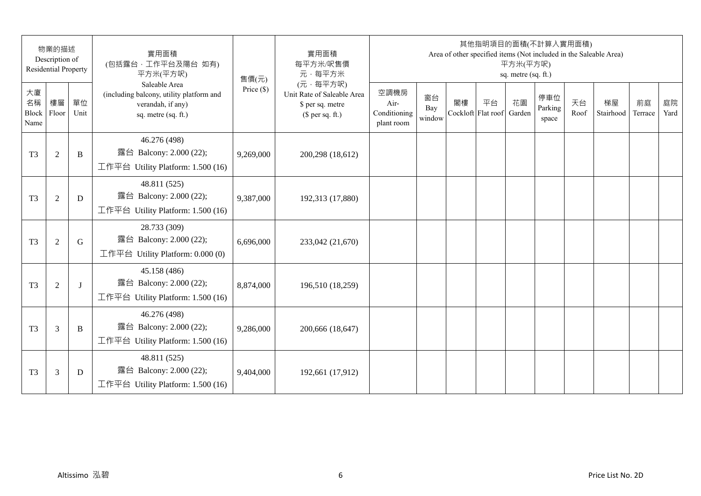|                           | 物業的描述<br>Description of<br><b>Residential Property</b> |              | 實用面積<br>(包括露台,工作平台及陽台 如有)<br>平方米(平方呎)                                                                 | 售價(元)        | 實用面積<br>每平方米/呎售價<br>元·每平方米                                                     |                                            |                     |    | 其他指明項目的面積(不計算入實用面積)      | 平方米(平方呎)<br>sq. metre (sq. ft.) |                         |            | Area of other specified items (Not included in the Saleable Area) |               |            |
|---------------------------|--------------------------------------------------------|--------------|-------------------------------------------------------------------------------------------------------|--------------|--------------------------------------------------------------------------------|--------------------------------------------|---------------------|----|--------------------------|---------------------------------|-------------------------|------------|-------------------------------------------------------------------|---------------|------------|
| 大廈<br>名稱<br>Block<br>Name | 樓層<br>Floor                                            | 單位<br>Unit   | Saleable Area<br>(including balcony, utility platform and<br>verandah, if any)<br>sq. metre (sq. ft.) | Price $(\$)$ | (元·每平方呎)<br>Unit Rate of Saleable Area<br>\$ per sq. metre<br>$$$ per sq. ft.) | 空調機房<br>Air-<br>Conditioning<br>plant room | 窗台<br>Bay<br>window | 閣樓 | 平台<br>Cockloft Flat roof | 花園<br>Garden                    | 停車位<br>Parking<br>space | 天台<br>Roof | 梯屋<br>Stairhood                                                   | 前庭<br>Terrace | 庭院<br>Yard |
| T <sub>3</sub>            | $\overline{2}$                                         | B            | 46.276 (498)<br>露台 Balcony: 2.000 (22);<br>工作平台 Utility Platform: 1.500 (16)                          | 9,269,000    | 200,298 (18,612)                                                               |                                            |                     |    |                          |                                 |                         |            |                                                                   |               |            |
| T <sub>3</sub>            | $\overline{2}$                                         | D            | 48.811 (525)<br>露台 Balcony: 2.000 (22);<br>工作平台 Utility Platform: 1.500 (16)                          | 9,387,000    | 192,313 (17,880)                                                               |                                            |                     |    |                          |                                 |                         |            |                                                                   |               |            |
| T <sub>3</sub>            | $\overline{2}$                                         | G            | 28.733 (309)<br>露台 Balcony: 2.000 (22);<br>工作平台 Utility Platform: $0.000(0)$                          | 6,696,000    | 233,042 (21,670)                                                               |                                            |                     |    |                          |                                 |                         |            |                                                                   |               |            |
| T <sub>3</sub>            | $\overline{2}$                                         | $\mathbf{I}$ | 45.158 (486)<br>露台 Balcony: 2.000 (22);<br>工作平台 Utility Platform: 1.500 (16)                          | 8,874,000    | 196,510 (18,259)                                                               |                                            |                     |    |                          |                                 |                         |            |                                                                   |               |            |
| T <sub>3</sub>            | 3                                                      | B            | 46.276 (498)<br>露台 Balcony: 2.000 (22);<br>工作平台 Utility Platform: 1.500 (16)                          | 9,286,000    | 200,666 (18,647)                                                               |                                            |                     |    |                          |                                 |                         |            |                                                                   |               |            |
| T <sub>3</sub>            | 3                                                      | D            | 48.811 (525)<br>露台 Balcony: 2.000 (22);<br>工作平台 Utility Platform: $1.500(16)$                         | 9,404,000    | 192,661 (17,912)                                                               |                                            |                     |    |                          |                                 |                         |            |                                                                   |               |            |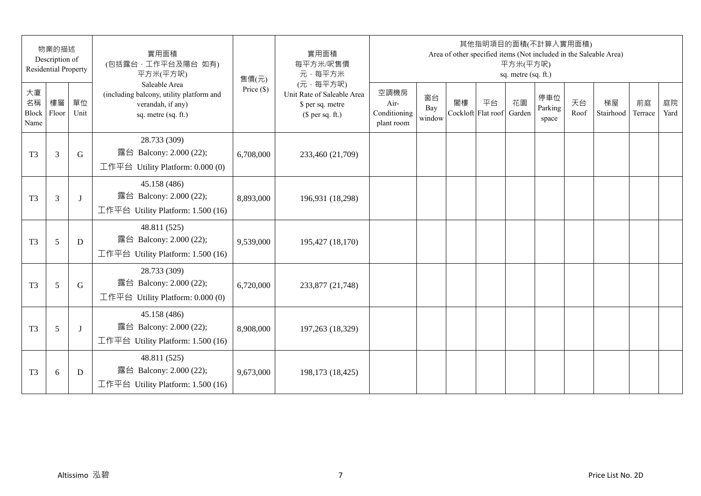|                           | 物業的描述<br>Description of<br><b>Residential Property</b> |            | 實用面積<br>(包括露台,工作平台及陽台 如有)<br>平方米(平方呎)                                                                 | 售價(元)        | 實用面積<br>每平方米/呎售價<br>元·每平方米                                                     |                                            |                     |    | 其他指明項目的面積(不計算入實用面積)      | 平方米(平方呎)<br>sq. metre (sq. ft.) |                         |            | Area of other specified items (Not included in the Saleable Area) |               |            |
|---------------------------|--------------------------------------------------------|------------|-------------------------------------------------------------------------------------------------------|--------------|--------------------------------------------------------------------------------|--------------------------------------------|---------------------|----|--------------------------|---------------------------------|-------------------------|------------|-------------------------------------------------------------------|---------------|------------|
| 大廈<br>名稱<br>Block<br>Name | 樓層<br>Floor                                            | 單位<br>Unit | Saleable Area<br>(including balcony, utility platform and<br>verandah, if any)<br>sq. metre (sq. ft.) | Price $(\$)$ | (元·每平方呎)<br>Unit Rate of Saleable Area<br>\$ per sq. metre<br>$$$ per sq. ft.) | 空調機房<br>Air-<br>Conditioning<br>plant room | 窗台<br>Bay<br>window | 閣樓 | 平台<br>Cockloft Flat roof | 花園<br>Garden                    | 停車位<br>Parking<br>space | 天台<br>Roof | 梯屋<br>Stairhood                                                   | 前庭<br>Terrace | 庭院<br>Yard |
| T <sub>3</sub>            | 3                                                      | G          | 28.733 (309)<br>露台 Balcony: 2.000 (22);<br>工作平台 Utility Platform: 0.000 (0)                           | 6,708,000    | 233,460 (21,709)                                                               |                                            |                     |    |                          |                                 |                         |            |                                                                   |               |            |
| T <sub>3</sub>            | 3                                                      | J          | 45.158 (486)<br>露台 Balcony: 2.000 (22);<br>工作平台 Utility Platform: 1.500 (16)                          | 8,893,000    | 196,931 (18,298)                                                               |                                            |                     |    |                          |                                 |                         |            |                                                                   |               |            |
| T <sub>3</sub>            | 5                                                      | D          | 48.811 (525)<br>露台 Balcony: 2.000 (22);<br>工作平台 Utility Platform: 1.500 (16)                          | 9,539,000    | 195,427 (18,170)                                                               |                                            |                     |    |                          |                                 |                         |            |                                                                   |               |            |
| T <sub>3</sub>            | 5                                                      | G          | 28.733 (309)<br>露台 Balcony: 2.000 (22);<br>工作平台 Utility Platform: 0.000 (0)                           | 6,720,000    | 233,877 (21,748)                                                               |                                            |                     |    |                          |                                 |                         |            |                                                                   |               |            |
| T <sub>3</sub>            | 5                                                      | J          | 45.158 (486)<br>露台 Balcony: 2.000 (22);<br>工作平台 Utility Platform: 1.500 (16)                          | 8,908,000    | 197,263 (18,329)                                                               |                                            |                     |    |                          |                                 |                         |            |                                                                   |               |            |
| T <sub>3</sub>            | 6                                                      | D          | 48.811 (525)<br>露台 Balcony: 2.000 (22);<br>工作平台 Utility Platform: $1.500(16)$                         | 9,673,000    | 198,173 (18,425)                                                               |                                            |                     |    |                          |                                 |                         |            |                                                                   |               |            |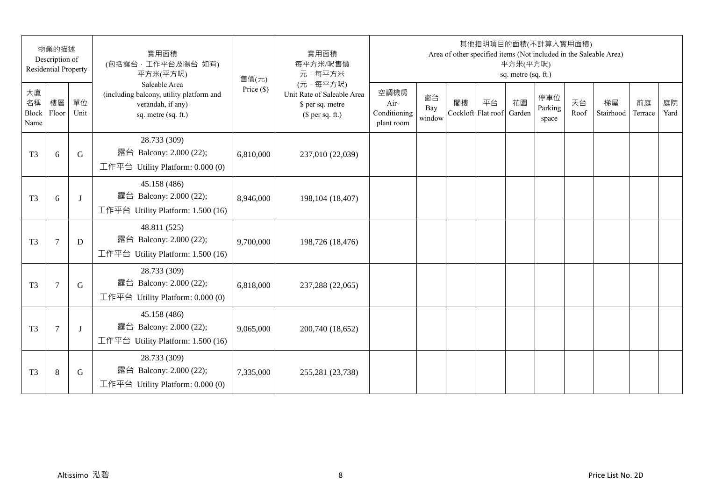|                           | 物業的描述<br>Description of<br><b>Residential Property</b> |            | 實用面積<br>(包括露台,工作平台及陽台 如有)<br>平方米(平方呎)                                                                 | 售價(元)        | 實用面積<br>每平方米/呎售價<br>元·每平方米                                                     |                                            |                     |    | 其他指明項目的面積(不計算入實用面積)      | 平方米(平方呎)<br>sq. metre (sq. ft.) |                         |            | Area of other specified items (Not included in the Saleable Area) |               |            |
|---------------------------|--------------------------------------------------------|------------|-------------------------------------------------------------------------------------------------------|--------------|--------------------------------------------------------------------------------|--------------------------------------------|---------------------|----|--------------------------|---------------------------------|-------------------------|------------|-------------------------------------------------------------------|---------------|------------|
| 大廈<br>名稱<br>Block<br>Name | 樓層<br>Floor                                            | 單位<br>Unit | Saleable Area<br>(including balcony, utility platform and<br>verandah, if any)<br>sq. metre (sq. ft.) | Price $(\$)$ | (元·每平方呎)<br>Unit Rate of Saleable Area<br>\$ per sq. metre<br>$$$ per sq. ft.) | 空調機房<br>Air-<br>Conditioning<br>plant room | 窗台<br>Bay<br>window | 閣樓 | 平台<br>Cockloft Flat roof | 花園<br>Garden                    | 停車位<br>Parking<br>space | 天台<br>Roof | 梯屋<br>Stairhood                                                   | 前庭<br>Terrace | 庭院<br>Yard |
| T <sub>3</sub>            | 6                                                      | G          | 28.733 (309)<br>露台 Balcony: 2.000 (22);<br>工作平台 Utility Platform: 0.000 (0)                           | 6,810,000    | 237,010 (22,039)                                                               |                                            |                     |    |                          |                                 |                         |            |                                                                   |               |            |
| T <sub>3</sub>            | 6                                                      | J          | 45.158 (486)<br>露台 Balcony: 2.000 (22);<br>工作平台 Utility Platform: 1.500 (16)                          | 8,946,000    | 198, 104 (18, 407)                                                             |                                            |                     |    |                          |                                 |                         |            |                                                                   |               |            |
| T <sub>3</sub>            | $\tau$                                                 | D          | 48.811 (525)<br>露台 Balcony: 2.000 (22);<br>工作平台 Utility Platform: 1.500 (16)                          | 9,700,000    | 198,726 (18,476)                                                               |                                            |                     |    |                          |                                 |                         |            |                                                                   |               |            |
| T <sub>3</sub>            | $\overline{7}$                                         | G          | 28.733 (309)<br>露台 Balcony: 2.000 (22);<br>工作平台 Utility Platform: 0.000 (0)                           | 6,818,000    | 237,288 (22,065)                                                               |                                            |                     |    |                          |                                 |                         |            |                                                                   |               |            |
| T <sub>3</sub>            | $7\phantom{.0}$                                        | J          | 45.158 (486)<br>露台 Balcony: 2.000 (22);<br>工作平台 Utility Platform: 1.500 (16)                          | 9,065,000    | 200,740 (18,652)                                                               |                                            |                     |    |                          |                                 |                         |            |                                                                   |               |            |
| T <sub>3</sub>            | 8                                                      | G          | 28.733 (309)<br>露台 Balcony: 2.000 (22);<br>工作平台 Utility Platform: $0.000(0)$                          | 7,335,000    | 255,281 (23,738)                                                               |                                            |                     |    |                          |                                 |                         |            |                                                                   |               |            |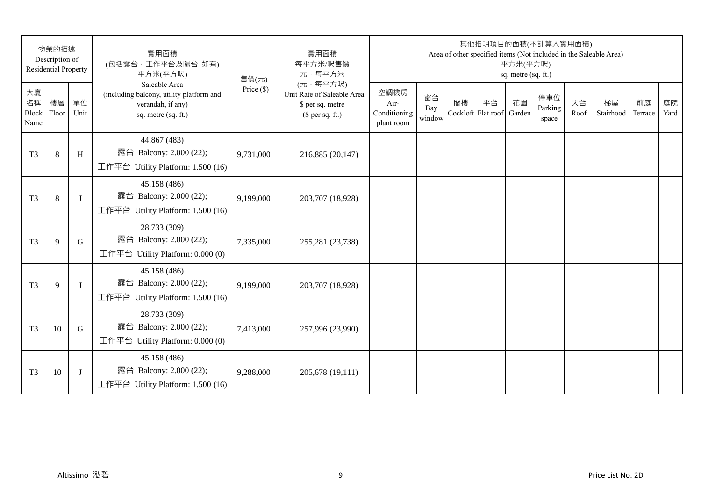|                           | 物業的描述<br>Description of<br><b>Residential Property</b> |              | 實用面積<br>(包括露台,工作平台及陽台 如有)<br>平方米(平方呎)                                                                 | 售價(元)        | 實用面積<br>每平方米/呎售價<br>元·每平方米                                                     |                                            |                     |    | 其他指明項目的面積(不計算入實用面積)      | 平方米(平方呎)<br>sq. metre (sq. ft.) |                         |            | Area of other specified items (Not included in the Saleable Area) |               |            |
|---------------------------|--------------------------------------------------------|--------------|-------------------------------------------------------------------------------------------------------|--------------|--------------------------------------------------------------------------------|--------------------------------------------|---------------------|----|--------------------------|---------------------------------|-------------------------|------------|-------------------------------------------------------------------|---------------|------------|
| 大廈<br>名稱<br>Block<br>Name | 樓層<br>Floor                                            | 單位<br>Unit   | Saleable Area<br>(including balcony, utility platform and<br>verandah, if any)<br>sq. metre (sq. ft.) | Price $(\$)$ | (元·每平方呎)<br>Unit Rate of Saleable Area<br>\$ per sq. metre<br>$$$ per sq. ft.) | 空調機房<br>Air-<br>Conditioning<br>plant room | 窗台<br>Bay<br>window | 閣樓 | 平台<br>Cockloft Flat roof | 花園<br>Garden                    | 停車位<br>Parking<br>space | 天台<br>Roof | 梯屋<br>Stairhood                                                   | 前庭<br>Terrace | 庭院<br>Yard |
| T <sub>3</sub>            | 8                                                      | H            | 44.867 (483)<br>露台 Balcony: 2.000 (22);<br>工作平台 Utility Platform: 1.500 (16)                          | 9,731,000    | 216,885 (20,147)                                                               |                                            |                     |    |                          |                                 |                         |            |                                                                   |               |            |
| T <sub>3</sub>            | 8                                                      | J            | 45.158 (486)<br>露台 Balcony: 2.000 (22);<br>工作平台 Utility Platform: 1.500 (16)                          | 9,199,000    | 203,707 (18,928)                                                               |                                            |                     |    |                          |                                 |                         |            |                                                                   |               |            |
| T <sub>3</sub>            | 9                                                      | G            | 28.733 (309)<br>露台 Balcony: 2.000 (22);<br>工作平台 Utility Platform: $0.000(0)$                          | 7,335,000    | 255,281 (23,738)                                                               |                                            |                     |    |                          |                                 |                         |            |                                                                   |               |            |
| T <sub>3</sub>            | 9                                                      | $\mathbf{I}$ | 45.158 (486)<br>露台 Balcony: 2.000 (22);<br>工作平台 Utility Platform: 1.500 (16)                          | 9,199,000    | 203,707 (18,928)                                                               |                                            |                     |    |                          |                                 |                         |            |                                                                   |               |            |
| T <sub>3</sub>            | 10                                                     | G            | 28.733 (309)<br>露台 Balcony: 2.000 (22);<br>工作平台 Utility Platform: $0.000(0)$                          | 7,413,000    | 257,996 (23,990)                                                               |                                            |                     |    |                          |                                 |                         |            |                                                                   |               |            |
| T <sub>3</sub>            | 10                                                     | J            | 45.158 (486)<br>露台 Balcony: 2.000 (22);<br>工作平台 Utility Platform: $1.500(16)$                         | 9,288,000    | 205,678 (19,111)                                                               |                                            |                     |    |                          |                                 |                         |            |                                                                   |               |            |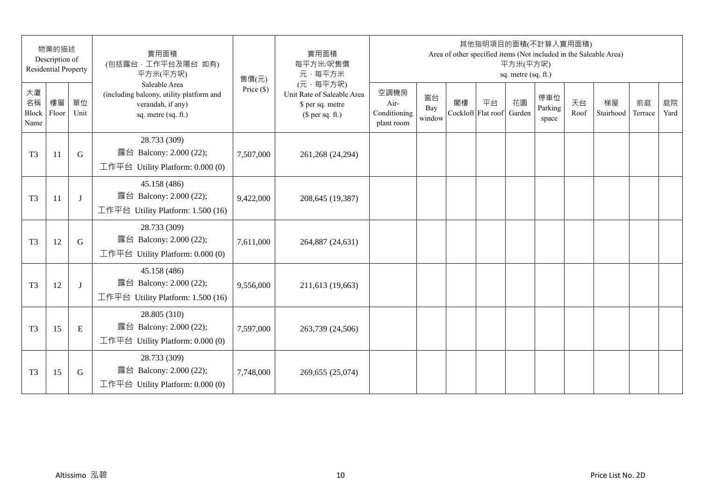|                           | 物業的描述<br>Description of<br><b>Residential Property</b> |            | 實用面積<br>(包括露台,工作平台及陽台 如有)<br>平方米(平方呎)                                                                 | 售價(元)        | 實用面積<br>每平方米/呎售價<br>元·每平方米                                                     |                                            |                     |    | 其他指明項目的面積(不計算入實用面積)      | 平方米(平方呎)<br>sq. metre (sq. ft.) |                         |            | Area of other specified items (Not included in the Saleable Area) |               |            |
|---------------------------|--------------------------------------------------------|------------|-------------------------------------------------------------------------------------------------------|--------------|--------------------------------------------------------------------------------|--------------------------------------------|---------------------|----|--------------------------|---------------------------------|-------------------------|------------|-------------------------------------------------------------------|---------------|------------|
| 大廈<br>名稱<br>Block<br>Name | 樓層<br>Floor                                            | 單位<br>Unit | Saleable Area<br>(including balcony, utility platform and<br>verandah, if any)<br>sq. metre (sq. ft.) | Price $(\$)$ | (元·每平方呎)<br>Unit Rate of Saleable Area<br>\$ per sq. metre<br>$$$ per sq. ft.) | 空調機房<br>Air-<br>Conditioning<br>plant room | 窗台<br>Bay<br>window | 閣樓 | 平台<br>Cockloft Flat roof | 花園<br>Garden                    | 停車位<br>Parking<br>space | 天台<br>Roof | 梯屋<br>Stairhood                                                   | 前庭<br>Terrace | 庭院<br>Yard |
| T <sub>3</sub>            | 11                                                     | G          | 28.733 (309)<br>露台 Balcony: 2.000 (22);<br>工作平台 Utility Platform: 0.000 (0)                           | 7,507,000    | 261,268 (24,294)                                                               |                                            |                     |    |                          |                                 |                         |            |                                                                   |               |            |
| T <sub>3</sub>            | 11                                                     | J          | 45.158 (486)<br>露台 Balcony: 2.000 (22);<br>工作平台 Utility Platform: 1.500 (16)                          | 9,422,000    | 208,645 (19,387)                                                               |                                            |                     |    |                          |                                 |                         |            |                                                                   |               |            |
| T <sub>3</sub>            | 12                                                     | G          | 28.733 (309)<br>露台 Balcony: 2.000 (22);<br>工作平台 Utility Platform: $0.000(0)$                          | 7,611,000    | 264,887 (24,631)                                                               |                                            |                     |    |                          |                                 |                         |            |                                                                   |               |            |
| T <sub>3</sub>            | 12                                                     | J          | 45.158 (486)<br>露台 Balcony: 2.000 (22);<br>工作平台 Utility Platform: 1.500 (16)                          | 9,556,000    | 211,613 (19,663)                                                               |                                            |                     |    |                          |                                 |                         |            |                                                                   |               |            |
| T <sub>3</sub>            | 15                                                     | E          | 28.805 (310)<br>露台 Balcony: 2.000 (22);<br>工作平台 Utility Platform: $0.000(0)$                          | 7,597,000    | 263,739 (24,506)                                                               |                                            |                     |    |                          |                                 |                         |            |                                                                   |               |            |
| T <sub>3</sub>            | 15                                                     | G          | 28.733 (309)<br>露台 Balcony: 2.000 (22);<br>工作平台 Utility Platform: $0.000(0)$                          | 7,748,000    | 269,655 (25,074)                                                               |                                            |                     |    |                          |                                 |                         |            |                                                                   |               |            |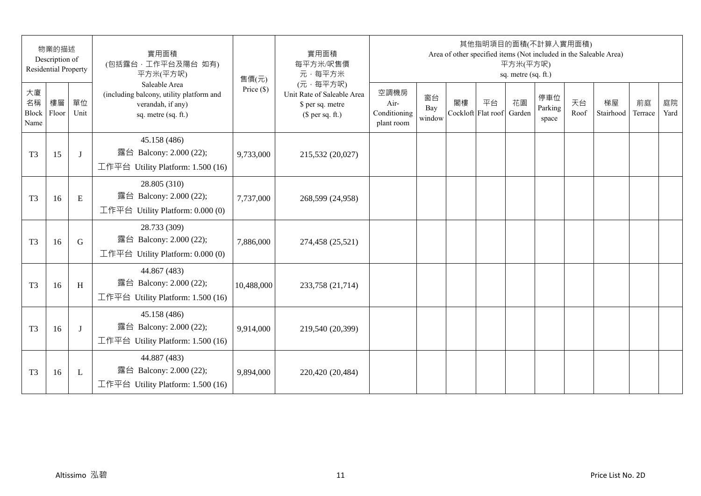| 物業的描述<br>Description of<br><b>Residential Property</b> |             | 實用面積<br>(包括露台,工作平台及陽台 如有)<br>平方米(平方呎) | 售價(元)                                                                                                 | 實用面積<br>每平方米/呎售價<br>元·每平方米 | 其他指明項目的面積(不計算入實用面積)<br>Area of other specified items (Not included in the Saleable Area)<br>平方米(平方呎)<br>sq. metre (sq. ft.) |                                            |                     |    |                          |              |                         |            |                 |               |            |
|--------------------------------------------------------|-------------|---------------------------------------|-------------------------------------------------------------------------------------------------------|----------------------------|-----------------------------------------------------------------------------------------------------------------------------|--------------------------------------------|---------------------|----|--------------------------|--------------|-------------------------|------------|-----------------|---------------|------------|
| 大廈<br>名稱<br>Block<br>Name                              | 樓層<br>Floor | 單位<br>Unit                            | Saleable Area<br>(including balcony, utility platform and<br>verandah, if any)<br>sq. metre (sq. ft.) | Price $(\$)$               | (元·每平方呎)<br>Unit Rate of Saleable Area<br>\$ per sq. metre<br>$$$ per sq. ft.)                                              | 空調機房<br>Air-<br>Conditioning<br>plant room | 窗台<br>Bay<br>window | 閣樓 | 平台<br>Cockloft Flat roof | 花園<br>Garden | 停車位<br>Parking<br>space | 天台<br>Roof | 梯屋<br>Stairhood | 前庭<br>Terrace | 庭院<br>Yard |
| T <sub>3</sub>                                         | 15          | J                                     | 45.158 (486)<br>露台 Balcony: 2.000 (22);<br>工作平台 Utility Platform: 1.500 (16)                          | 9,733,000                  | 215,532 (20,027)                                                                                                            |                                            |                     |    |                          |              |                         |            |                 |               |            |
| T <sub>3</sub>                                         | 16          | E                                     | 28.805 (310)<br>露台 Balcony: 2.000 (22);<br>工作平台 Utility Platform: 0.000 (0)                           | 7,737,000                  | 268,599 (24,958)                                                                                                            |                                            |                     |    |                          |              |                         |            |                 |               |            |
| T <sub>3</sub>                                         | 16          | G                                     | 28.733 (309)<br>露台 Balcony: 2.000 (22);<br>工作平台 Utility Platform: $0.000(0)$                          | 7,886,000                  | 274,458 (25,521)                                                                                                            |                                            |                     |    |                          |              |                         |            |                 |               |            |
| T <sub>3</sub>                                         | 16          | H                                     | 44.867 (483)<br>露台 Balcony: 2.000 (22);<br>工作平台 Utility Platform: 1.500 (16)                          | 10,488,000                 | 233,758 (21,714)                                                                                                            |                                            |                     |    |                          |              |                         |            |                 |               |            |
| T <sub>3</sub>                                         | 16          | J                                     | 45.158 (486)<br>露台 Balcony: 2.000 (22);<br>工作平台 Utility Platform: 1.500 (16)                          | 9,914,000                  | 219,540 (20,399)                                                                                                            |                                            |                     |    |                          |              |                         |            |                 |               |            |
| T <sub>3</sub>                                         | 16          | L                                     | 44.887 (483)<br>露台 Balcony: 2.000 (22);<br>工作平台 Utility Platform: $1.500(16)$                         | 9,894,000                  | 220,420 (20,484)                                                                                                            |                                            |                     |    |                          |              |                         |            |                 |               |            |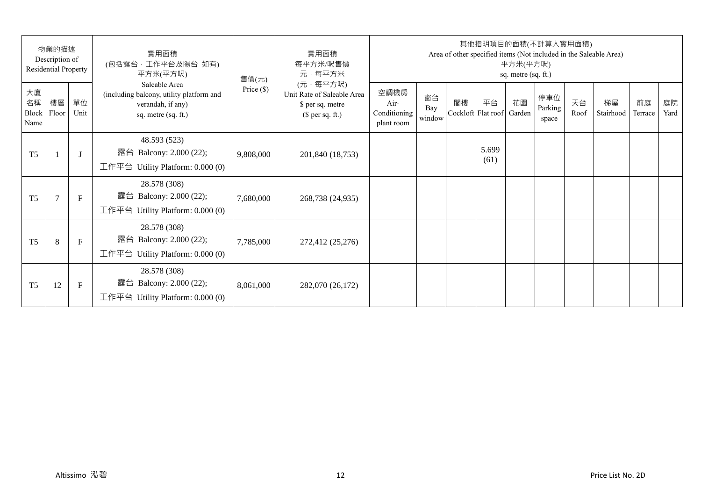| 物業的描述<br>Description of<br><b>Residential Property</b> |                |              | 實用面積<br>(包括露台,工作平台及陽台 如有)<br>平方米(平方呎)                                                                 | 售價(元)        | 實用面積<br>每平方米/呎售價<br>元·每平方米                                                     | 其他指明項目的面積(不計算入實用面積)<br>Area of other specified items (Not included in the Saleable Area)<br>平方米(平方呎)<br>sq. metre (sq. ft.) |                     |                          |               |              |                         |            |                 |               |            |  |
|--------------------------------------------------------|----------------|--------------|-------------------------------------------------------------------------------------------------------|--------------|--------------------------------------------------------------------------------|-----------------------------------------------------------------------------------------------------------------------------|---------------------|--------------------------|---------------|--------------|-------------------------|------------|-----------------|---------------|------------|--|
| 大廈<br>名稱<br>Block<br>Name                              | 樓層<br>Floor    | 單位<br>Unit   | Saleable Area<br>(including balcony, utility platform and<br>verandah, if any)<br>sq. metre (sq. ft.) | Price $(\$)$ | (元·每平方呎)<br>Unit Rate of Saleable Area<br>\$ per sq. metre<br>$$$ per sq. ft.) | 空調機房<br>Air-<br>Conditioning<br>plant room                                                                                  | 窗台<br>Bay<br>window | 閣樓<br>Cockloft Flat roof | 平台            | 花園<br>Garden | 停車位<br>Parking<br>space | 天台<br>Roof | 梯屋<br>Stairhood | 前庭<br>Terrace | 庭院<br>Yard |  |
| T <sub>5</sub>                                         |                | $\lceil$     | 48.593 (523)<br>露台 Balcony: 2.000 (22);<br>工作平台 Utility Platform: $0.000(0)$                          | 9,808,000    | 201,840 (18,753)                                                               |                                                                                                                             |                     |                          | 5.699<br>(61) |              |                         |            |                 |               |            |  |
| T <sub>5</sub>                                         | $\overline{7}$ | $\mathbf{F}$ | 28.578 (308)<br>露台 Balcony: 2.000 (22);<br>工作平台 Utility Platform: 0.000 (0)                           | 7,680,000    | 268,738 (24,935)                                                               |                                                                                                                             |                     |                          |               |              |                         |            |                 |               |            |  |
| T <sub>5</sub>                                         | 8              | $\mathbf{F}$ | 28.578 (308)<br>露台 Balcony: 2.000 (22);<br>工作平台 Utility Platform: $0.000(0)$                          | 7,785,000    | 272,412 (25,276)                                                               |                                                                                                                             |                     |                          |               |              |                         |            |                 |               |            |  |
| T <sub>5</sub>                                         | 12             | $\mathbf F$  | 28.578 (308)<br>露台 Balcony: 2.000 (22);<br>工作平台 Utility Platform: $0.000(0)$                          | 8,061,000    | 282,070 (26,172)                                                               |                                                                                                                             |                     |                          |               |              |                         |            |                 |               |            |  |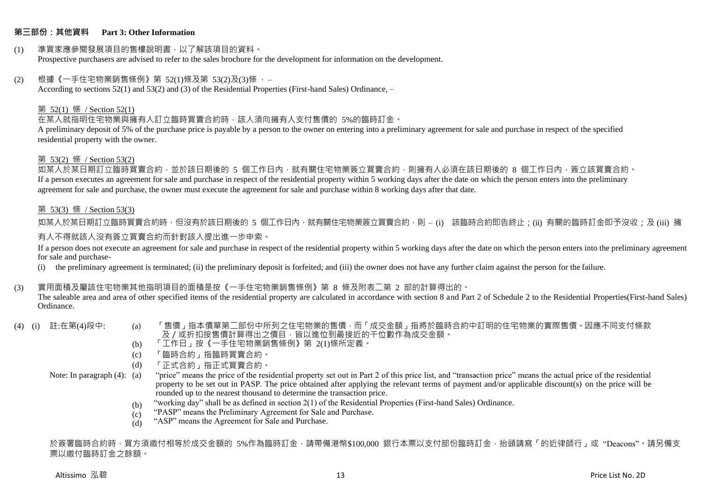#### **第三部份:其他資料 Part 3: Other Information**

#### (1) 準買家應參閱發展項目的售樓說明書,以了解該項目的資料。 Prospective purchasers are advised to refer to the sales brochure for the development for information on the development.

#### $(2)$  根據《一手住宅物業銷售條例》第 52(1)條及第 53(2)及(3)條,

According to sections 52(1) and 53(2) and (3) of the Residential Properties (First-hand Sales) Ordinance, –

#### 第 52(1) 條 / Section 52(1)

在某人就指明住宅物業與擁有人訂立臨時買賣合約時,該人須向擁有人支付售價的 5%的臨時訂金。

A preliminary deposit of 5% of the purchase price is payable by a person to the owner on entering into a preliminary agreement for sale and purchase in respect of the specified residential property with the owner.

#### 第 53(2) 條 / Section 53(2)

如某人於某日期訂立臨時買賣合約,並於該日期後的 5 個工作日內,就有關住宅物業簽立買賣合約,則擁有人必須在該日期後的 8 個工作日內,簽立該買賣合約。 If a person executes an agreement for sale and purchase in respect of the residential property within 5 working days after the date on which the person enters into the preliminary agreement for sale and purchase, the owner must execute the agreement for sale and purchase within 8 working days after that date.

#### 第 53(3) 條 / Section 53(3)

如某人於某日期訂立臨時買賣合約時,但沒有於該日期後的 5 個工作日內,就有關住宅物業簽立買賣合約,則 – (i) 該臨時合約即告終止;(ii) 有關的臨時訂金即予沒收;及 (iii) 擁 有人不得就該人沒有簽立買賣合約而針對該人提出進一步申索。

If a person does not execute an agreement for sale and purchase in respect of the residential property within 5 working days after the date on which the person enters into the preliminary agreement for sale and purchase-

(i) the preliminary agreement is terminated; (ii) the preliminary deposit is forfeited; and (iii) the owner does not have any further claim against the person for the failure.

#### (3) 實用面積及屬該住宅物業其他指明項目的面積是按《一手住宅物業銷售條例》第 8 條及附表二第 2 部的計算得出的。

The saleable area and area of other specified items of the residential property are calculated in accordance with section 8 and Part 2 of Schedule 2 to the Residential Properties(First-hand Sales) Ordinance.

- 
- (4) (i) 註:在第(4)段中: (a) 「售價」指本價單第二部份中所列之住宅物業的售價,而「成交金額」指將於臨時合約中訂明的住宅物業的實際售價。因應不同支付條款 及/或折扣按售價計算得出之價目,皆以進位到最接近的千位數作為成交金額。
	- (b) 「工作日」按《一手住宅物業銷售條例》第 2(1)條所定義。
	- (c) 「臨時合約」指臨時買賣合約。
	- (d) 「正式合約」指正式買賣合約。

Note: In paragraph (4): (a)

- "price" means the price of the residential property set out in Part 2 of this price list, and "transaction price" means the actual price of the residential property to be set out in PASP. The price obtained after applying the relevant terms of payment and/or applicable discount(s) on the price will be rounded up to the nearest thousand to determine the transaction price.
	- (b) "working day" shall be as defined in section 2(1) of the Residential Properties (First-hand Sales) Ordinance.
	- $(c)$ "PASP" means the Preliminary Agreement for Sale and Purchase.
	- (d) "ASP" means the Agreement for Sale and Purchase.

於簽署臨時合約時,買方須繳付相等於成交金額的 5%作為臨時訂金,請帶備港幣\$100,000 銀行本票以支付部份臨時訂金,抬頭請寫「的近律師行」或"Deacons"。請另備支 票以繳付臨時訂金之餘額。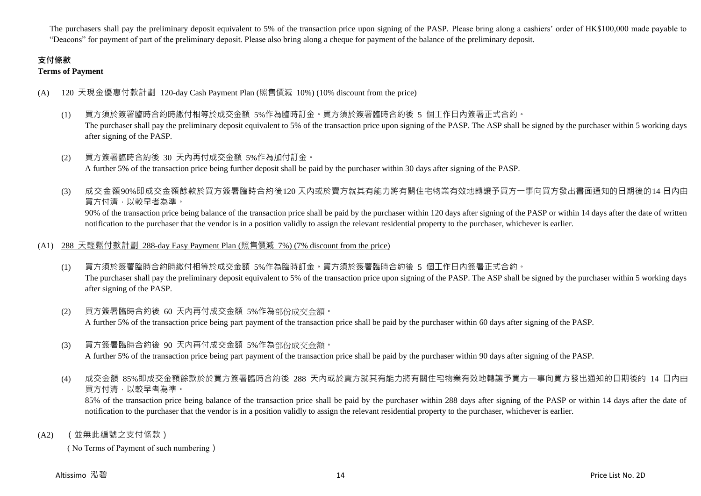The purchasers shall pay the preliminary deposit equivalent to 5% of the transaction price upon signing of the PASP. Please bring along a cashiers' order of HK\$100,000 made payable to "Deacons" for payment of part of the preliminary deposit. Please also bring along a cheque for payment of the balance of the preliminary deposit.

## **支付條款**

**Terms of Payment**

## (A) 120 天現金優惠付款計劃 120-day Cash Payment Plan (照售價減 10%) (10% discount from the price)

- (1) 買方須於簽署臨時合約時繳付相等於成交金額 5%作為臨時訂金。買方須於簽署臨時合約後 5 個工作日內簽署正式合約。 The purchaser shall pay the preliminary deposit equivalent to 5% of the transaction price upon signing of the PASP. The ASP shall be signed by the purchaser within 5 working days after signing of the PASP.
- (2) 買方簽署臨時合約後 30 天內再付成交金額 5%作為加付訂金。 A further 5% of the transaction price being further deposit shall be paid by the purchaser within 30 days after signing of the PASP.
- (3) 成交金額90%即成交金額餘款於買方簽署臨時合約後120 天內或於賣方就其有能力將有關住宅物業有效地轉讓予買方一事向買方發出書面通知的日期後的14 日內由 買方付清,以較早者為準。

90% of the transaction price being balance of the transaction price shall be paid by the purchaser within 120 days after signing of the PASP or within 14 days after the date of written notification to the purchaser that the vendor is in a position validly to assign the relevant residential property to the purchaser, whichever is earlier.

## (A1) 288 天輕鬆付款計劃 288-day Easy Payment Plan (照售價減 7%) (7% discount from the price)

- (1) 買方須於簽署臨時合約時繳付相等於成交金額 5%作為臨時訂金。買方須於簽署臨時合約後 5 個工作日內簽署正式合約。 The purchaser shall pay the preliminary deposit equivalent to 5% of the transaction price upon signing of the PASP. The ASP shall be signed by the purchaser within 5 working days after signing of the PASP.
- (2) 買方簽署臨時合約後 60 天內再付成交金額 5%作為部份成交金額。 A further 5% of the transaction price being part payment of the transaction price shall be paid by the purchaser within 60 days after signing of the PASP.
- (3) 買方簽署臨時合約後 90 天內再付成交金額 5%作為部份成交金額。

A further 5% of the transaction price being part payment of the transaction price shall be paid by the purchaser within 90 days after signing of the PASP.

(4) 成交金額 85%即成交金額餘款於於買方簽署臨時合約後 288 天內或於賣方就其有能力將有關住宅物業有效地轉讓予買方一事向買方發出通知的日期後的 14 日內由 買方付清,以較早者為準。

85% of the transaction price being balance of the transaction price shall be paid by the purchaser within 288 days after signing of the PASP or within 14 days after the date of notification to the purchaser that the vendor is in a position validly to assign the relevant residential property to the purchaser, whichever is earlier.

(A2) (並無此編號之支付條款)

( No Terms of Payment of such numbering)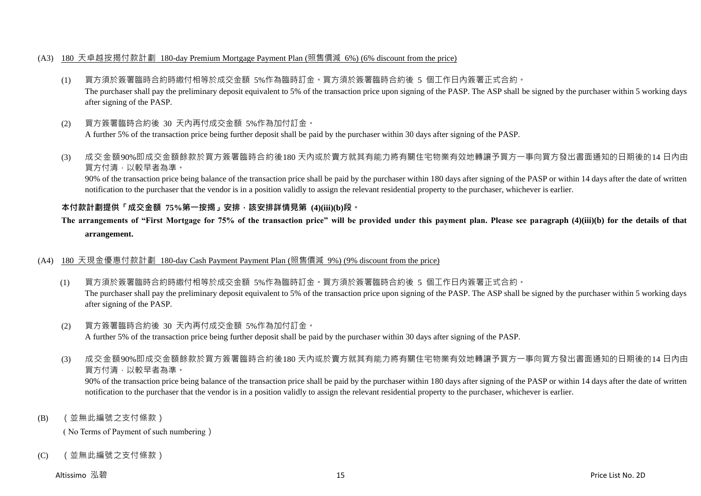#### (A3) 180 天卓越按揭付款計劃 180-day Premium Mortgage Payment Plan (照售價減 6%) (6% discount from the price)

- (1) 買方須於簽署臨時合約時繳付相等於成交金額 5%作為臨時訂金。買方須於簽署臨時合約後 5 個工作日內簽署正式合約。 The purchaser shall pay the preliminary deposit equivalent to 5% of the transaction price upon signing of the PASP. The ASP shall be signed by the purchaser within 5 working days after signing of the PASP.
- (2) 買方簽署臨時合約後 30 天內再付成交金額 5%作為加付訂金。 A further 5% of the transaction price being further deposit shall be paid by the purchaser within 30 days after signing of the PASP.
- (3) 成交金額90%即成交金額餘款於買方簽署臨時合約後180 天內或於賣方就其有能力將有關住宅物業有效地轉讓予買方一事向買方發出書面通知的日期後的14 日內由 買方付清,以較早者為準。

90% of the transaction price being balance of the transaction price shall be paid by the purchaser within 180 days after signing of the PASP or within 14 days after the date of written notification to the purchaser that the vendor is in a position validly to assign the relevant residential property to the purchaser, whichever is earlier.

## **本付款計劃提供「成交金額 75%第一按揭」安排,該安排詳情見第 (4)(iii)(b)段。**

## **The arrangements of "First Mortgage for 75% of the transaction price" will be provided under this payment plan. Please see paragraph (4)(iii)(b) for the details of that arrangement.**

#### (A4) 180 天現金優惠付款計劃 180-day Cash Payment Payment Plan (照售價減 9%) (9% discount from the price)

- (1) 買方須於簽署臨時合約時繳付相等於成交金額 5%作為臨時訂金。買方須於簽署臨時合約後 5 個工作日內簽署正式合約。 The purchaser shall pay the preliminary deposit equivalent to 5% of the transaction price upon signing of the PASP. The ASP shall be signed by the purchaser within 5 working days after signing of the PASP.
- (2) 買方簽署臨時合約後 30 天內再付成交金額 5%作為加付訂金。 A further 5% of the transaction price being further deposit shall be paid by the purchaser within 30 days after signing of the PASP.
- (3) 成交金額90%即成交金額餘款於買方簽署臨時合約後180 天內或於賣方就其有能力將有關住宅物業有效地轉讓予買方一事向買方發出書面通知的日期後的14 日內由 買方付清,以較早者為準。

90% of the transaction price being balance of the transaction price shall be paid by the purchaser within 180 days after signing of the PASP or within 14 days after the date of written notification to the purchaser that the vendor is in a position validly to assign the relevant residential property to the purchaser, whichever is earlier.

(B) (並無此編號之支付條款)

( No Terms of Payment of such numbering)

(C) (並無此編號之支付條款)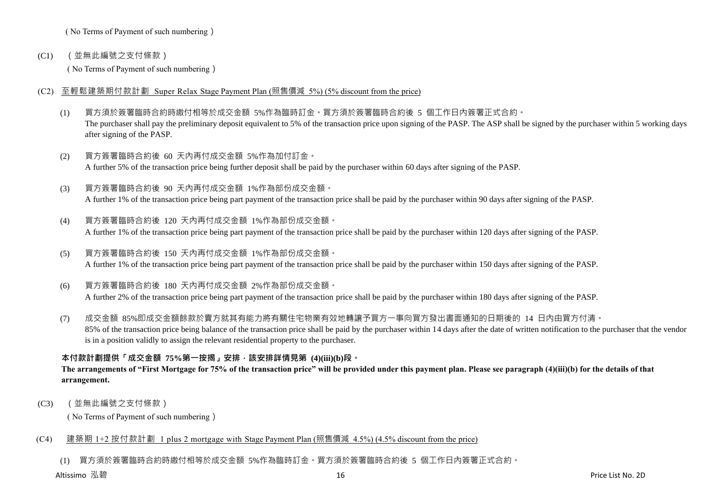( No Terms of Payment of such numbering)

(C1) (並無此編號之支付條款)

( No Terms of Payment of such numbering)

- (C2) 至輕鬆建築期付款計劃 Super Relax Stage Payment Plan (照售價減 5%) (5% discount from the price)
	- (1) 買方須於簽署臨時合約時繳付相等於成交金額 5%作為臨時訂金。買方須於簽署臨時合約後 5 個工作日內簽署正式合約。 The purchaser shall pay the preliminary deposit equivalent to 5% of the transaction price upon signing of the PASP. The ASP shall be signed by the purchaser within 5 working days after signing of the PASP.
	- (2) 買方簽署臨時合約後 60 天內再付成交金額 5%作為加付訂金。 A further 5% of the transaction price being further deposit shall be paid by the purchaser within 60 days after signing of the PASP.
	- (3) 買方簽署臨時合約後 90 天內再付成交金額 1%作為部份成交金額。 A further 1% of the transaction price being part payment of the transaction price shall be paid by the purchaser within 90 days after signing of the PASP.
	- (4) 買方簽署臨時合約後 120 天內再付成交金額 1%作為部份成交金額。 A further 1% of the transaction price being part payment of the transaction price shall be paid by the purchaser within 120 days after signing of the PASP.
	- (5) 買方簽署臨時合約後 150 天內再付成交金額 1%作為部份成交金額。 A further 1% of the transaction price being part payment of the transaction price shall be paid by the purchaser within 150 days after signing of the PASP.
	- (6) 買方簽署臨時合約後 180 天內再付成交金額 2%作為部份成交金額。 A further 2% of the transaction price being part payment of the transaction price shall be paid by the purchaser within 180 days after signing of the PASP.
	- (7) 成交金額 85%即成交金額餘款於賣方就其有能力將有關住宅物業有效地轉讓予買方一事向買方發出書面通知的日期後的 14 日內由買方付清。 85% of the transaction price being balance of the transaction price shall be paid by the purchaser within 14 days after the date of written notification to the purchaser that the vendor is in a position validly to assign the relevant residential property to the purchaser.

## **本付款計劃提供「成交金額 75%第一按揭」安排,該安排詳情見第 (4)(iii)(b)段。**

## **The arrangements of "First Mortgage for 75% of the transaction price" will be provided under this payment plan. Please see paragraph (4)(iii)(b) for the details of that arrangement.**

(C3) (並無此編號之支付條款)

( No Terms of Payment of such numbering)

## (C4) 建築期 1+2 按付款計劃 1 plus 2 mortgage with Stage Payment Plan (照售價減 4.5%) (4.5% discount from the price)

(1) 買方須於簽署臨時合約時繳付相等於成交金額 5%作為臨時訂金。買方須於簽署臨時合約後 5 個工作日內簽署正式合約。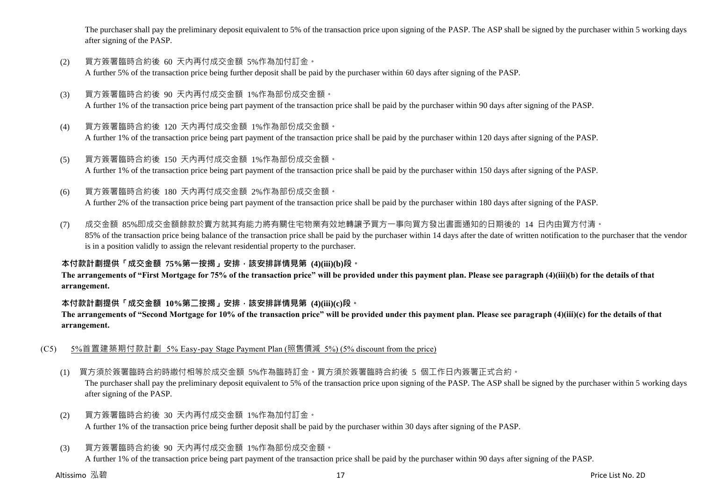The purchaser shall pay the preliminary deposit equivalent to 5% of the transaction price upon signing of the PASP. The ASP shall be signed by the purchaser within 5 working days after signing of the PASP.

- (2) 買方簽署臨時合約後 60 天內再付成交金額 5%作為加付訂金。 A further 5% of the transaction price being further deposit shall be paid by the purchaser within 60 days after signing of the PASP.
- (3) 買方簽署臨時合約後 90 天內再付成交金額 1%作為部份成交金額。 A further 1% of the transaction price being part payment of the transaction price shall be paid by the purchaser within 90 days after signing of the PASP.
- (4) 買方簽署臨時合約後 120 天內再付成交金額 1%作為部份成交金額。 A further 1% of the transaction price being part payment of the transaction price shall be paid by the purchaser within 120 days after signing of the PASP.
- (5) 買方簽署臨時合約後 150 天內再付成交金額 1%作為部份成交金額。 A further 1% of the transaction price being part payment of the transaction price shall be paid by the purchaser within 150 days after signing of the PASP.
- (6) 買方簽署臨時合約後 180 天內再付成交金額 2%作為部份成交金額。

A further 2% of the transaction price being part payment of the transaction price shall be paid by the purchaser within 180 days after signing of the PASP.

(7) 成交金額 85%即成交金額餘款於賣方就其有能力將有關住宅物業有效地轉讓予買方一事向買方發出書面通知的日期後的 14 日內由買方付清。 85% of the transaction price being balance of the transaction price shall be paid by the purchaser within 14 days after the date of written notification to the purchaser that the vendor is in a position validly to assign the relevant residential property to the purchaser.

## **本付款計劃提供「成交金額 75%第一按揭」安排,該安排詳情見第 (4)(iii)(b)段。**

**The arrangements of "First Mortgage for 75% of the transaction price" will be provided under this payment plan. Please see paragraph (4)(iii)(b) for the details of that arrangement.**

#### **本付款計劃提供「成交金額 10%第二按揭」安排,該安排詳情見第 (4)(iii)(c)段。**

**The arrangements of "Second Mortgage for 10% of the transaction price" will be provided under this payment plan. Please see paragraph (4)(iii)(c) for the details of that arrangement.**

- (C5) 5%首置建築期付款計劃 5% Easy-pay Stage Payment Plan (照售價減 5%) (5% discount from the price)
	- (1) 買方須於簽署臨時合約時繳付相等於成交金額 5%作為臨時訂金。買方須於簽署臨時合約後 5 個工作日內簽署正式合約。

The purchaser shall pay the preliminary deposit equivalent to 5% of the transaction price upon signing of the PASP. The ASP shall be signed by the purchaser within 5 working days after signing of the PASP.

- (2) 買方簽署臨時合約後 30 天內再付成交金額 1%作為加付訂金。 A further 1% of the transaction price being further deposit shall be paid by the purchaser within 30 days after signing of the PASP.
- (3) 買方簽署臨時合約後 90 天內再付成交金額 1%作為部份成交金額。

A further 1% of the transaction price being part payment of the transaction price shall be paid by the purchaser within 90 days after signing of the PASP.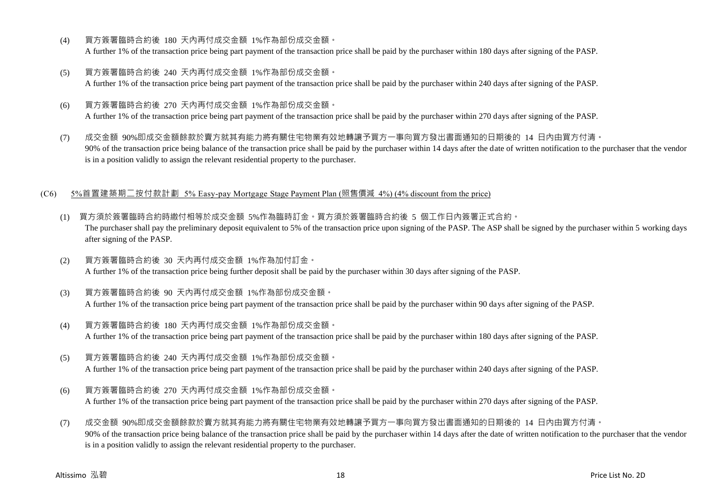- (4) 買方簽署臨時合約後 180 天內再付成交金額 1%作為部份成交金額。 A further 1% of the transaction price being part payment of the transaction price shall be paid by the purchaser within 180 days after signing of the PASP.
- (5) 買方簽署臨時合約後 240 天內再付成交金額 1%作為部份成交金額。 A further 1% of the transaction price being part payment of the transaction price shall be paid by the purchaser within 240 days after signing of the PASP.
- (6) 買方簽署臨時合約後 270 天內再付成交金額 1%作為部份成交金額。 A further 1% of the transaction price being part payment of the transaction price shall be paid by the purchaser within 270 days after signing of the PASP.
- (7) 成交金額 90%即成交金額餘款於賣方就其有能力將有關住宅物業有效地轉讓予買方一事向買方發出書面通知的日期後的 14 日內由買方付清。 90% of the transaction price being balance of the transaction price shall be paid by the purchaser within 14 days after the date of written notification to the purchaser that the vendor is in a position validly to assign the relevant residential property to the purchaser.

#### (C6) 5%首置建築期二按付款計劃 5% Easy-pay Mortgage Stage Payment Plan (照售價減 4%) (4% discount from the price)

- (1) 買方須於簽署臨時合約時繳付相等於成交金額 5%作為臨時訂金。買方須於簽署臨時合約後 5 個工作日內簽署正式合約。 The purchaser shall pay the preliminary deposit equivalent to 5% of the transaction price upon signing of the PASP. The ASP shall be signed by the purchaser within 5 working days after signing of the PASP.
- (2) 買方簽署臨時合約後 30 天內再付成交金額 1%作為加付訂金。 A further 1% of the transaction price being further deposit shall be paid by the purchaser within 30 days after signing of the PASP.
- (3) 買方簽署臨時合約後 90 天內再付成交金額 1%作為部份成交金額。 A further 1% of the transaction price being part payment of the transaction price shall be paid by the purchaser within 90 days after signing of the PASP.
- (4) 買方簽署臨時合約後 180 天內再付成交金額 1%作為部份成交金額。 A further 1% of the transaction price being part payment of the transaction price shall be paid by the purchaser within 180 days after signing of the PASP.
- (5) 買方簽署臨時合約後 240 天內再付成交金額 1%作為部份成交金額。

A further 1% of the transaction price being part payment of the transaction price shall be paid by the purchaser within 240 days after signing of the PASP.

- (6) 買方簽署臨時合約後 270 天內再付成交金額 1%作為部份成交金額。 A further 1% of the transaction price being part payment of the transaction price shall be paid by the purchaser within 270 days after signing of the PASP.
- (7) 成交金額 90%即成交金額餘款於賣方就其有能力將有關住宅物業有效地轉讓予買方一事向買方發出書面通知的日期後的 14 日內由買方付清。 90% of the transaction price being balance of the transaction price shall be paid by the purchaser within 14 days after the date of written notification to the purchaser that the vendor is in a position validly to assign the relevant residential property to the purchaser.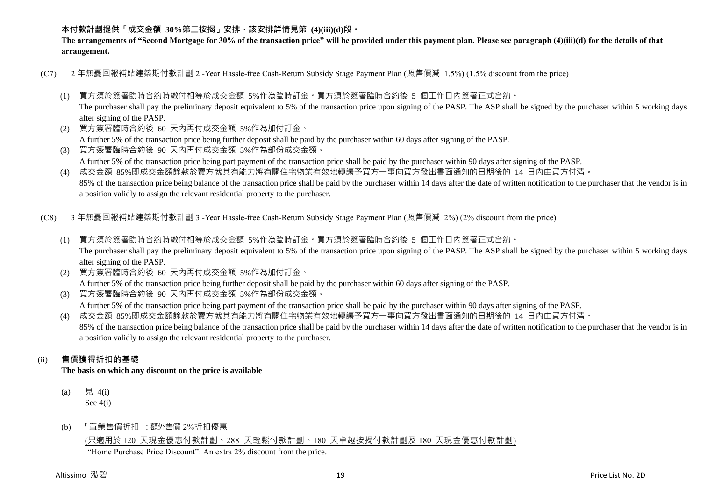## **本付款計劃提供「成交金額 30%第二按揭」安排,該安排詳情見第 (4)(iii)(d)段。**

**The arrangements of "Second Mortgage for 30% of the transaction price" will be provided under this payment plan. Please see paragraph (4)(iii)(d) for the details of that arrangement.**

- (C7) 2 年無憂回報補貼建築期付款計劃 2 -Year Hassle-free Cash-Return Subsidy Stage Payment Plan (照售價減 1.5%) (1.5% discount from the price)
	- (1) 買方須於簽署臨時合約時繳付相等於成交金額 5%作為臨時訂金。買方須於簽署臨時合約後 5 個工作日內簽署正式合約。

The purchaser shall pay the preliminary deposit equivalent to 5% of the transaction price upon signing of the PASP. The ASP shall be signed by the purchaser within 5 working days after signing of the PASP.

(2) 買方簽署臨時合約後 60 天內再付成交金額 5%作為加付訂金。

A further 5% of the transaction price being further deposit shall be paid by the purchaser within 60 days after signing of the PASP.

(3) 買方簽署臨時合約後 90 天內再付成交金額 5%作為部份成交金額。 A further 5% of the transaction price being part payment of the transaction price shall be paid by the purchaser within 90 days after signing of the PASP.

(4) 成交金額 85%即成交金額餘款於賣方就其有能力將有關住宅物業有效地轉讓予買方一事向買方發出書面通知的日期後的 14 日內由買方付清。 85% of the transaction price being balance of the transaction price shall be paid by the purchaser within 14 days after the date of written notification to the purchaser that the vendor is in a position validly to assign the relevant residential property to the purchaser.

#### (C8) 3 年無憂回報補貼建築期付款計劃 3 -Year Hassle-free Cash-Return Subsidy Stage Payment Plan (照售價減 2%) (2% discount from the price)

- (1) 買方須於簽署臨時合約時繳付相等於成交金額 5%作為臨時訂金。買方須於簽署臨時合約後 5 個工作日內簽署正式合約。 The purchaser shall pay the preliminary deposit equivalent to 5% of the transaction price upon signing of the PASP. The ASP shall be signed by the purchaser within 5 working days after signing of the PASP.
- (2) 買方簽署臨時合約後 60 天內再付成交金額 5%作為加付訂金。

A further 5% of the transaction price being further deposit shall be paid by the purchaser within 60 days after signing of the PASP.

(3) 買方簽署臨時合約後 90 天內再付成交金額 5%作為部份成交金額。

A further 5% of the transaction price being part payment of the transaction price shall be paid by the purchaser within 90 days after signing of the PASP.

(4) 成交金額 85%即成交金額餘款於賣方就其有能力將有關住宅物業有效地轉讓予買方一事向買方發出書面通知的日期後的 14 日內由買方付清。 85% of the transaction price being balance of the transaction price shall be paid by the purchaser within 14 days after the date of written notification to the purchaser that the vendor is in a position validly to assign the relevant residential property to the purchaser.

## (ii) **售價獲得折扣的基礎**

**The basis on which any discount on the price is available**

- (a) 見 4(i) See 4(i)
- (b) 「置業售價折扣」:額外售價 2%折扣優惠

## (只適用於 120 天現金優惠付款計劃、288 天輕鬆付款計劃、180 天卓越按揭付款計劃及 180 天現金優惠付款計劃)

"Home Purchase Price Discount": An extra 2% discount from the price.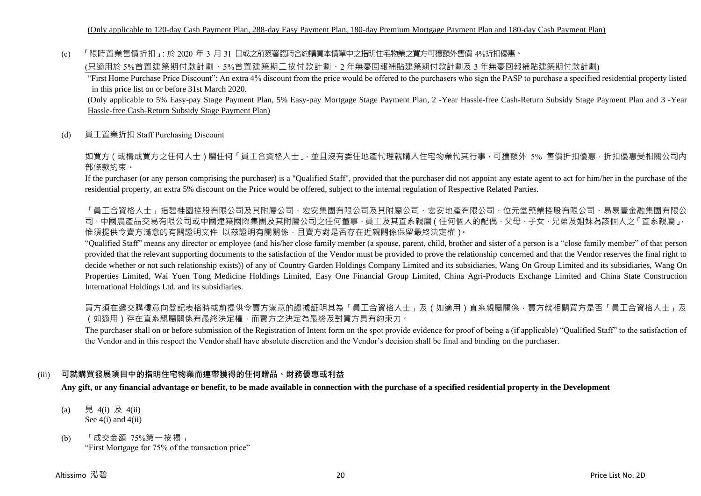(c) 「限時置業售價折扣」:於 2020 年 3 月 31 日或之前簽署臨時合約購買本價單中之指明住宅物業之買方可獲額外售價 4%折扣優惠。

(只適用於 5%首置建築期付款計劃、5%首置建築期二按付款計劃、2 年無憂回報補貼建築期付款計劃及 3 年無憂回報補貼建築期付款計劃)

"First Home Purchase Price Discount": An extra 4% discount from the price would be offered to the purchasers who sign the PASP to purchase a specified residential property listed in this price list on or before 31st March 2020.

(Only applicable to 5% Easy-pay Stage Payment Plan, 5% Easy-pay Mortgage Stage Payment Plan, 2 -Year Hassle-free Cash-Return Subsidy Stage Payment Plan and 3 -Year Hassle-free Cash-Return Subsidy Stage Payment Plan)

(d) 員工置業折扣 Staff Purchasing Discount

如買方(或構成買方之任何人士)屬任何「員工合資格人士」,並且沒有委任地產代理就購入住宅物業代其行事,可獲額外 5% 售價折扣優惠,折扣優惠受相關公司內 部條款約束。

If the purchaser (or any person comprising the purchaser) is a "Qualified Staff", provided that the purchaser did not appoint any estate agent to act for him/her in the purchase of the residential property, an extra 5% discount on the Price would be offered, subject to the internal regulation of Respective Related Parties.

「員工合資格人士」指碧桂園控股有限公司及其附屬公司、宏安集團有限公司及其附屬公司、宏安地產有限公司、位元堂藥業控股有限公司、易易壹金融集團有限公 司、中國農產品交易有限公司或中國建築國際集團及其附屬公司之任何董事、員工及其直系親屬(任何個人的配偶、父母、子女、兄弟及姐妹為該個人之「直系親屬」, 惟須提供令賣方滿意的有關證明文件 以茲證明有關關係,且賣方對是否存在近親關係保留最終決定權)。

"Qualified Staff" means any director or employee (and his/her close family member (a spouse, parent, child, brother and sister of a person is a "close family member" of that person provided that the relevant supporting documents to the satisfaction of the Vendor must be provided to prove the relationship concerned and that the Vendor reserves the final right to decide whether or not such relationship exists)) of any of Country Garden Holdings Company Limited and its subsidiaries, Wang On Group Limited and its subsidiaries, Wang On Properties Limited, Wai Yuen Tong Medicine Holdings Limited, Easy One Financial Group Limited, China Agri-Products Exchange Limited and China State Construction International Holdings Ltd. and its subsidiaries.

買方須在遞交購樓意向登記表格時或前提供令賣方滿意的證據証明其為「員工合資格人士」及(如適用)直系親屬關係,賣方就相關買方是否「員工合資格人士」及 (如適用)存在直系親屬關係有最終決定權,而賣方之決定為最終及對買方具有約束力。

The purchaser shall on or before submission of the Registration of Intent form on the spot provide evidence for proof of being a (if applicable) "Qualified Staff" to the satisfaction of the Vendor and in this respect the Vendor shall have absolute discretion and the Vendor's decision shall be final and binding on the purchaser.

## (iii) **可就購買發展項目中的指明住宅物業而連帶獲得的任何贈品、財務優惠或利益**

**Any gift, or any financial advantage or benefit, to be made available in connection with the purchase of a specified residential property in the Development**

- (a) 見 4(i) 及 4(ii) See  $4(i)$  and  $4(ii)$
- (b) 「成交金額 75%第一按揭」 "First Mortgage for 75% of the transaction price"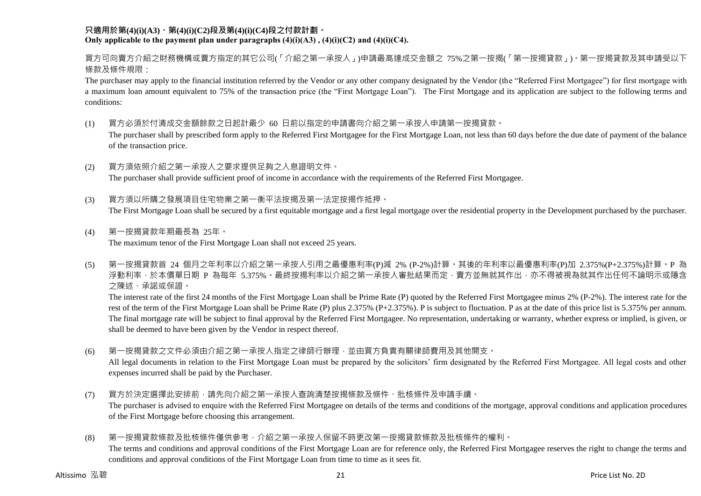#### **只適用於第(4)(i)(A3)、第(4)(i)(C2)段及第(4)(i)(C4)段之付款計劃。** Only applicable to the payment plan under paragraphs  $(4)(i)(A3)$ ,  $(4)(i)(C2)$  and  $(4)(i)(C4)$ .

買方可向賣方介紹之財務機構或賣方指定的其它公司(「介紹之第一承按人」)申請最高達成交金額之 75%之第一按揭(「第一按揭貸款」)。第一按揭貸款及其申請受以下 條款及條件規限:

The purchaser may apply to the financial institution referred by the Vendor or any other company designated by the Vendor (the "Referred First Mortgagee") for first mortgage with a maximum loan amount equivalent to 75% of the transaction price (the "First Mortgage Loan"). The First Mortgage and its application are subject to the following terms and conditions:

(1) 買方必須於付清成交金額餘款之日起計最少 60 日前以指定的申請書向介紹之第一承按人申請第一按揭貸款。

The purchaser shall by prescribed form apply to the Referred First Mortgagee for the First Mortgage Loan, not less than 60 days before the due date of payment of the balance of the transaction price.

- (2) 買方須依照介紹之第一承按人之要求提供足夠之入息證明文件。 The purchaser shall provide sufficient proof of income in accordance with the requirements of the Referred First Mortgagee.
- (3) 買方須以所購之發展項目住宅物業之第一衡平法按揭及第一法定按揭作抵押。 The First Mortgage Loan shall be secured by a first equitable mortgage and a first legal mortgage over the residential property in the Development purchased by the purchaser.
- (4) 第一按揭貸款年期最長為 25年。 The maximum tenor of the First Mortgage Loan shall not exceed 25 years.
- (5) 第一按揭貸款首 24 個月之年利率以介紹之第一承按人引用之最優惠利率(P)減 2% (P-2%)計算。其後的年利率以最優惠利率(P)加 2.375%(P+2.375%)計算。P 為 浮動利率,於本價單日期 P 為每年 5.375%。最終按揭利率以介紹之第一承按人審批結果而定,賣方並無就其作出,亦不得被視為就其作出任何不論明示或隱含 之陳述、承諾或保證。

The interest rate of the first 24 months of the First Mortgage Loan shall be Prime Rate (P) quoted by the Referred First Mortgagee minus 2% (P-2%). The interest rate for the rest of the term of the First Mortgage Loan shall be Prime Rate (P) plus 2.375% (P+2.375%). P is subject to fluctuation. P as at the date of this price list is 5.375% per annum. The final mortgage rate will be subject to final approval by the Referred First Mortgagee. No representation, undertaking or warranty, whether express or implied, is given, or shall be deemed to have been given by the Vendor in respect thereof.

(6) 第一按揭貸款之文件必須由介紹之第一承按人指定之律師行辦理,並由買方負責有關律師費用及其他開支。

All legal documents in relation to the First Mortgage Loan must be prepared by the solicitors' firm designated by the Referred First Mortgagee. All legal costs and other expenses incurred shall be paid by the Purchaser.

(7) 買方於決定選擇此安排前,請先向介紹之第一承按人查詢清楚按揭條款及條件、批核條件及申請手續。

The purchaser is advised to enquire with the Referred First Mortgagee on details of the terms and conditions of the mortgage, approval conditions and application procedures of the First Mortgage before choosing this arrangement.

(8) 第一按揭貸款條款及批核條件僅供參考,介紹之第一承按人保留不時更改第一按揭貸款條款及批核條件的權利。

The terms and conditions and approval conditions of the First Mortgage Loan are for reference only, the Referred First Mortgagee reserves the right to change the terms and conditions and approval conditions of the First Mortgage Loan from time to time as it sees fit.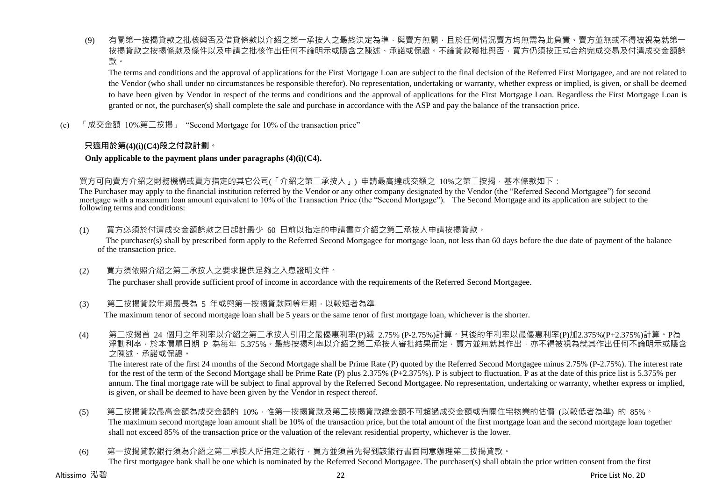(9) 有關第一按揭貸款之批核與否及借貸條款以介紹之第一承按人之最終決定為準,與賣方無關,且於任何情況賣方均無需為此負責。賣方並無或不得被視為就第 按揭貸款之按揭條款及條件以及申請之批核作出任何不論明示或隱含之陳述、承諾或保證。不論貸款獲批與否,買方仍須按正式合約完成交易及付清成交金額餘 款。

The terms and conditions and the approval of applications for the First Mortgage Loan are subject to the final decision of the Referred First Mortgagee, and are not related to the Vendor (who shall under no circumstances be responsible therefor). No representation, undertaking or warranty, whether express or implied, is given, or shall be deemed to have been given by Vendor in respect of the terms and conditions and the approval of applications for the First Mortgage Loan. Regardless the First Mortgage Loan is granted or not, the purchaser(s) shall complete the sale and purchase in accordance with the ASP and pay the balance of the transaction price.

(c) 「成交金額 10%第二按揭」 "Second Mortgage for 10% of the transaction price"

## **只適用於第(4)(i)(C4)段之付款計劃。**

#### **Only applicable to the payment plans under paragraphs (4)(i)(C4).**

## 買方可向賣方介紹之財務機構或賣方指定的其它公司(「介紹之第二承按人」) 申請最高達成交額之 10%之第二按揭,基本條款如下:

The Purchaser may apply to the financial institution referred by the Vendor or any other company designated by the Vendor (the "Referred Second Mortgagee") for second mortgage with a maximum loan amount equivalent to 10% of the Transaction Price (the "Second Mortgage"). The Second Mortgage and its application are subject to the following terms and conditions:

(1) 買方必須於付清成交金額餘款之日起計最少 60 日前以指定的申請書向介紹之第二承按人申請按揭貸款。

The purchaser(s) shall by prescribed form apply to the Referred Second Mortgagee for mortgage loan, not less than 60 days before the due date of payment of the balance of the transaction price.

(2) 買方須依照介紹之第二承按人之要求提供足夠之入息證明文件。

The purchaser shall provide sufficient proof of income in accordance with the requirements of the Referred Second Mortgagee.

(3) 第二按揭貸款年期最長為 5 年或與第一按揭貸款同等年期,以較短者為準

The maximum tenor of second mortgage loan shall be 5 years or the same tenor of first mortgage loan, whichever is the shorter.

(4) 第二按揭首 24 個月之年利率以介紹之第二承按人引用之最優惠利率(P)減 2.75% (P-2.75%)計算。其後的年利率以最優惠利率(P)加2.375%(P+2.375%)計算。P為 浮動利率,於本價單日期 P 為每年 5.375%。最終按揭利率以介紹之第二承按人審批結果而定,賣方並無就其作出,亦不得被視為就其作出任何不論明示或隱含 之陳述、承諾或保證。

The interest rate of the first 24 months of the Second Mortgage shall be Prime Rate (P) quoted by the Referred Second Mortgagee minus 2.75% (P-2.75%). The interest rate for the rest of the term of the Second Mortgage shall be Prime Rate (P) plus 2.375% (P+2.375%). P is subject to fluctuation. P as at the date of this price list is 5.375% per annum. The final mortgage rate will be subject to final approval by the Referred Second Mortgagee. No representation, undertaking or warranty, whether express or implied, is given, or shall be deemed to have been given by the Vendor in respect thereof.

- (5) 第<sup>一</sup>按揭貸款最高金額為成交金額的 10%,惟第一按揭貸款及第<sup>一</sup>按揭貸款總金額不可超過成交金額或有關住宅物業的估價 (以較低者為進) 的 85%。 The maximum second mortgage loan amount shall be 10% of the transaction price, but the total amount of the first mortgage loan and the second mortgage loan together shall not exceed 85% of the transaction price or the valuation of the relevant residential property, whichever is the lower.
- (6) 第一按揭貸款銀行須為介紹之第二承按人所指定之銀行,買方並須首先得到該銀行書面同意辦理第二按揭貸款。 The first mortgagee bank shall be one which is nominated by the Referred Second Mortgagee. The purchaser(s) shall obtain the prior written consent from the first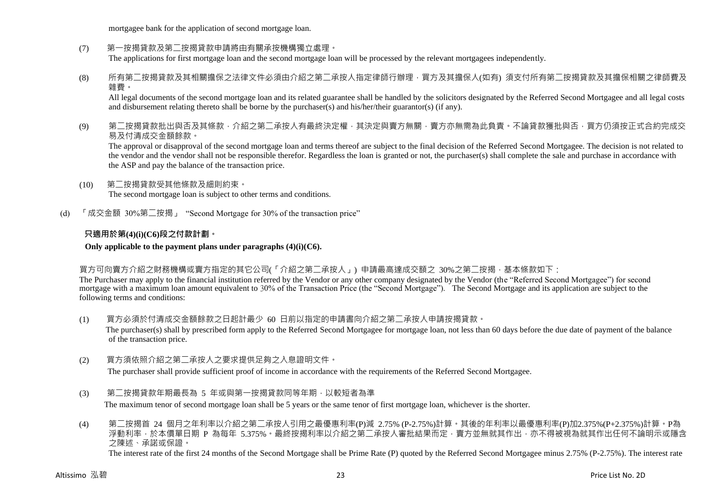mortgagee bank for the application of second mortgage loan.

- (7) 第一按揭貸款及第二按揭貸款申請將由有關承按機構獨立處理。 The applications for first mortgage loan and the second mortgage loan will be processed by the relevant mortgagees independently.
- (8) 所有第二按揭貸款及其相關擔保之法律文件必須由介紹之第二承按人指定律師行辦理,買方及其擔保人(如有) 須支付所有第二按揭貸款及其擔保相關之律師費及 雜費。

All legal documents of the second mortgage loan and its related guarantee shall be handled by the solicitors designated by the Referred Second Mortgagee and all legal costs and disbursement relating thereto shall be borne by the purchaser(s) and his/her/their guarantor(s) (if any).

(9) 第<sup>一</sup>按揭貸款批出與否及其條款,介紹之第<sup>一</sup>承按人有最終決定權,其決定與賣方無關,賣方亦無需為此負責。不論貸款獲批與否,買方仍須按正式合約完成交 易及付清成交金額餘款。

The approval or disapproval of the second mortgage loan and terms thereof are subject to the final decision of the Referred Second Mortgagee. The decision is not related to the vendor and the vendor shall not be responsible therefor. Regardless the loan is granted or not, the purchaser(s) shall complete the sale and purchase in accordance with the ASP and pay the balance of the transaction price.

- (10) 第二按揭貸款受其他條款及細則約束。 The second mortgage loan is subject to other terms and conditions.
- (d) 「成交金額 30%第二按揭」 "Second Mortgage for 30% of the transaction price"

## **只適用於第(4)(i)(C6)段之付款計劃。**

**Only applicable to the payment plans under paragraphs (4)(i)(C6).**

買方可向賣方介紹之財務機構或賣方指定的其它公司(「介紹之第二承按人」) 申請最高達成交額之 30%之第二按揭,基本條款如下:

The Purchaser may apply to the financial institution referred by the Vendor or any other company designated by the Vendor (the "Referred Second Mortgagee") for second mortgage with a maximum loan amount equivalent to 30% of the Transaction Price (the "Second Mortgage"). The Second Mortgage and its application are subject to the following terms and conditions:

- (1) 買方必須於付清成交金額餘款之日起計最少 60 日前以指定的申請書向介紹之第二承按人申請按揭貸款。 The purchaser(s) shall by prescribed form apply to the Referred Second Mortgagee for mortgage loan, not less than 60 days before the due date of payment of the balance of the transaction price.
- (2) 買方須依照介紹之第二承按人之要求提供足夠之入息證明文件。

The purchaser shall provide sufficient proof of income in accordance with the requirements of the Referred Second Mortgagee.

(3) 第二按揭貸款年期最長為 5 年或與第一按揭貸款同等年期,以較短者為準

The maximum tenor of second mortgage loan shall be 5 years or the same tenor of first mortgage loan, whichever is the shorter.

(4) 第二按揭首 24 個月之年利率以介紹之第二承按人引用之最優惠利率(P)減 2.75% (P-2.75%)計算。其後的年利率以最優惠利率(P)加2.375%(P+2.375%)計算。P為 浮動利率,於本價單日期 P 為每年 5.375%。最終按揭利率以介紹之第二承按人審批結果而定,賣方並無就其作出,亦不得被視為就其作出任何不論明示或隱含 之陳述、承諾或保證。 The interest rate of the first 24 months of the Second Mortgage shall be Prime Rate (P) quoted by the Referred Second Mortgagee minus 2.75% (P-2.75%). The interest rate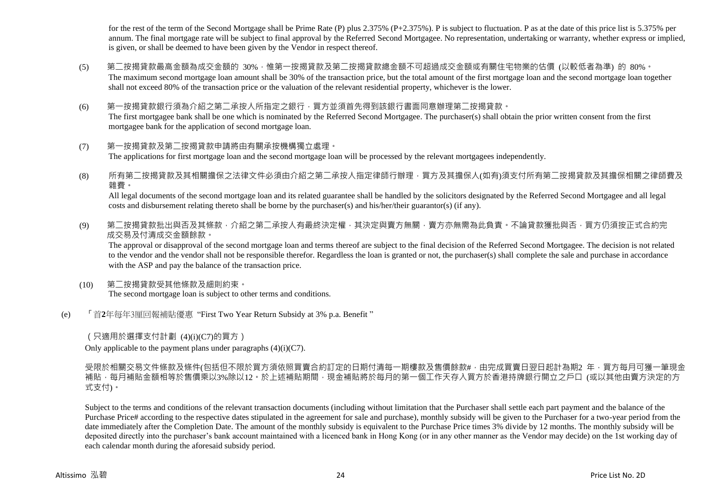for the rest of the term of the Second Mortgage shall be Prime Rate (P) plus 2.375% (P+2.375%). P is subject to fluctuation. P as at the date of this price list is 5.375% per annum. The final mortgage rate will be subject to final approval by the Referred Second Mortgagee. No representation, undertaking or warranty, whether express or implied, is given, or shall be deemed to have been given by the Vendor in respect thereof.

- (5) 第二按揭貸款最高金額為成交金額的 30%,惟第一按揭貸款及第二按揭貸款總金額不可超過成交金額或有關住宅物業的估價 (以較低者為準) 的 80%。 The maximum second mortgage loan amount shall be 30% of the transaction price, but the total amount of the first mortgage loan and the second mortgage loan together shall not exceed 80% of the transaction price or the valuation of the relevant residential property, whichever is the lower.
- (6) 第一按揭貸款銀行須為介紹之第二承按人所指定之銀行,買方並須首先得到該銀行書面同意辦理第二按揭貸款。 The first mortgagee bank shall be one which is nominated by the Referred Second Mortgagee. The purchaser(s) shall obtain the prior written consent from the first mortgagee bank for the application of second mortgage loan.
- (7) 第一按揭貸款及第二按揭貸款申請將由有關承按機構獨立處理。 The applications for first mortgage loan and the second mortgage loan will be processed by the relevant mortgagees independently.
- (8) 所有第二按揭貸款及其相關擔保之法律文件必須由介紹之第二承按人指定律師行辦理,買方及其擔保人(如有)須支付所有第二按揭貸款及其擔保相關之律師費及 雜費。

All legal documents of the second mortgage loan and its related guarantee shall be handled by the solicitors designated by the Referred Second Mortgagee and all legal costs and disbursement relating thereto shall be borne by the purchaser(s) and his/her/their guarantor(s) (if any).

(9) 第二按揭貸款批出與否及其條款,介紹之第二承按人有最終決定權,其決定與賣方無關,賣方亦無需為此負責。不論貸款獲批與否,買方仍須按正式合約完 成交易及付清成交金額餘款。

The approval or disapproval of the second mortgage loan and terms thereof are subject to the final decision of the Referred Second Mortgagee. The decision is not related to the vendor and the vendor shall not be responsible therefor. Regardless the loan is granted or not, the purchaser(s) shall complete the sale and purchase in accordance with the ASP and pay the balance of the transaction price.

- (10) 第二按揭貸款受其他條款及細則約束。 The second mortgage loan is subject to other terms and conditions.
- (e) 「首**2**年每年3厘回報補貼優惠 "First Two Year Return Subsidy at 3% p.a. Benefit "

(只適用於選擇支付計劃 (4)(i)(C7)的買方)

Only applicable to the payment plans under paragraphs  $(4)(i)(C7)$ .

受限於相關交易文件條款及條件(包括但不限於買方須依照買賣合約訂定的日期付清每一期樓款及售價餘款#,由完成買賣日翌日起計為期2 年,買方每月可獲一筆現金 .<br>補貼,每月補貼金額相等於售價乘以3%除以12。於上述補貼期間,現金補貼將於每月的第一個工作天存入買方於香港持牌銀行開立之戶口 (或以其他由賣方決定的方 式支付)。

Subject to the terms and conditions of the relevant transaction documents (including without limitation that the Purchaser shall settle each part payment and the balance of the Purchase Price# according to the respective dates stipulated in the agreement for sale and purchase), monthly subsidy will be given to the Purchaser for a two-year period from the date immediately after the Completion Date. The amount of the monthly subsidy is equivalent to the Purchase Price times 3% divide by 12 months. The monthly subsidy will be deposited directly into the purchaser's bank account maintained with a licenced bank in Hong Kong (or in any other manner as the Vendor may decide) on the 1st working day of each calendar month during the aforesaid subsidy period.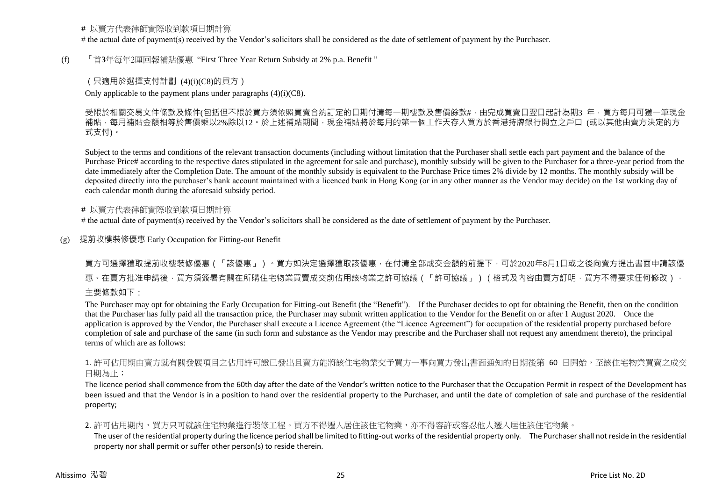### **#** 以賣方代表律師實際收到款項日期計算

# the actual date of payment(s) received by the Vendor's solicitors shall be considered as the date of settlement of payment by the Purchaser.

#### (f) 「首**3**年每年2厘回報補貼優惠 "First Three Year Return Subsidy at 2% p.a. Benefit "

### (只適用於選擇支付計劃 (4)(i)(C8)的買方)

Only applicable to the payment plans under paragraphs  $(4)(i)(C8)$ .

受限於相關交易文件條款及條件(包括但不限於買方須依照買賣合約訂定的日期付清每一期樓款及售價餘款#,由完成買賣日翌日起計為期3 年,買方每月可獲一筆現金 補貼,每月補貼金額相等於售價乘以2%除以12。於上述補貼期間,現金補貼將於每月的第一個工作天存入買方於香港持牌銀行開立之戶口 (或以其他由賣方決定的方 式支付)。

Subject to the terms and conditions of the relevant transaction documents (including without limitation that the Purchaser shall settle each part payment and the balance of the Purchase Price# according to the respective dates stipulated in the agreement for sale and purchase), monthly subsidy will be given to the Purchaser for a three-year period from the date immediately after the Completion Date. The amount of the monthly subsidy is equivalent to the Purchase Price times 2% divide by 12 months. The monthly subsidy will be deposited directly into the purchaser's bank account maintained with a licenced bank in Hong Kong (or in any other manner as the Vendor may decide) on the 1st working day of each calendar month during the aforesaid subsidy period.

#### **#** 以賣方代表律師實際收到款項日期計算

# the actual date of payment(s) received by the Vendor's solicitors shall be considered as the date of settlement of payment by the Purchaser.

(g) 提前收樓裝修優惠 Early Occupation for Fitting-out Benefit

買方可選擇獲取提前收樓裝修優惠(「該優惠」)。買方如決定選擇獲取該優惠,在付清全部成交金額的前提下,可於2020年8月1日或之後向賣方提出書面申請該優 惠。在賣方批准申請後,買方須簽署有關在所購住宅物業買賣成交前佔用該物業之許可協議(「許可協議」)(格式及內容由賣方訂明,買方不得要求任何修改), 主要條款如下:

The Purchaser may opt for obtaining the Early Occupation for Fitting-out Benefit (the "Benefit"). If the Purchaser decides to opt for obtaining the Benefit, then on the condition that the Purchaser has fully paid all the transaction price, the Purchaser may submit written application to the Vendor for the Benefit on or after 1 August 2020. Once the application is approved by the Vendor, the Purchaser shall execute a Licence Agreement (the "Licence Agreement") for occupation of the residential property purchased before completion of sale and purchase of the same (in such form and substance as the Vendor may prescribe and the Purchaser shall not request any amendment thereto), the principal terms of which are as follows:

1. 許可佔用期由賣方就有關發展項目之佔用許可證已發出且賣方能將該住宅物業交予買方一事向買方發出書面通知的日期後第 60 日開始,至該住宅物業買賣之成交 日期為止;

The licence period shall commence from the 60th day after the date of the Vendor's written notice to the Purchaser that the Occupation Permit in respect of the Development has been issued and that the Vendor is in a position to hand over the residential property to the Purchaser, and until the date of completion of sale and purchase of the residential property;

#### 2. 許可佔用期内,買方只可就該住宅物業進行裝修工程。買方不得遷入居住該住宅物業,亦不得容許或容忍他人遷入居住該住宅物業。

The user of the residential property during the licence period shall be limited to fitting-out works of the residential property only. The Purchaser shall not reside in the residential property nor shall permit or suffer other person(s) to reside therein.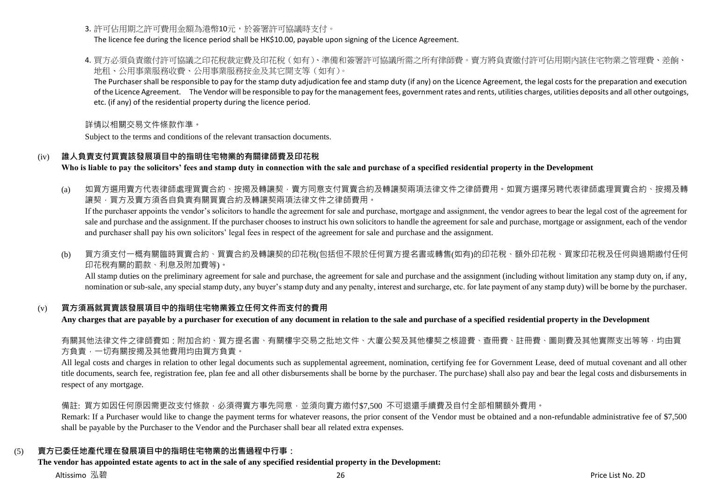3. 許可佔用期之許可費用金額為港幣10元,於簽署許可協議時支付。

The licence fee during the licence period shall be HK\$10.00, payable upon signing of the Licence Agreement.

4. 買方必須負責繳付許可協議之印花稅裁定費及印花稅(如有)、準備和簽署許可協議所需之所有律師費。賣方將負責繳付許可佔用期內該住宅物業之管理費、差餉、 地租、公用事業服務收費、公用事業服務按金及其它開支等(如有)。

The Purchaser shall be responsible to pay for the stamp duty adjudication fee and stamp duty (if any) on the Licence Agreement, the legal costs for the preparation and execution of the Licence Agreement. The Vendor will be responsible to pay for the management fees, government rates and rents, utilities charges, utilities deposits and all other outgoings, etc. (if any) of the residential property during the licence period.

詳情以相關交易文件條款作準。

Subject to the terms and conditions of the relevant transaction documents.

## (iv) **誰人負責支付買賣該發展項目中的指明住宅物業的有關律師費及印花稅**

**Who is liable to pay the solicitors' fees and stamp duty in connection with the sale and purchase of a specified residential property in the Development**

(a) 如買方選用賣方代表律師處理買賣合約、按揭及轉讓契,賣方同意支付買賣合約及轉讓契兩項法律文件之律師費用。如買方選擇另聘代表律師處理買賣合約、按揭及轉 讓契,買方及賣方須各自負責有關買賣合約及轉讓契兩項法律文件之律師費用。

If the purchaser appoints the vendor's solicitors to handle the agreement for sale and purchase, mortgage and assignment, the vendor agrees to bear the legal cost of the agreement for sale and purchase and the assignment. If the purchaser chooses to instruct his own solicitors to handle the agreement for sale and purchase, mortgage or assignment, each of the vendor and purchaser shall pay his own solicitors' legal fees in respect of the agreement for sale and purchase and the assignment.

(b) 買方須支付一概有關臨時買賣合約、買賣合約及轉讓契的印花稅(包括但不限於任何買方提名書或轉售(如有)的印花稅、額外印花稅、買家印花稅及任何與過期繳付任何 印花稅有關的罰款、利息及附加費等)。

All stamp duties on the preliminary agreement for sale and purchase, the agreement for sale and purchase and the assignment (including without limitation any stamp duty on, if any, nomination or sub-sale, any special stamp duty, any buyer's stamp duty and any penalty, interest and surcharge, etc. for late payment of any stamp duty) will be borne by the purchaser.

## (v) **買方須爲就買賣該發展項目中的指明住宅物業簽立任何文件而支付的費用**

**Any charges that are payable by a purchaser for execution of any document in relation to the sale and purchase of a specified residential property in the Development**

右關其他法律文件之律師費如:附加合約、買方提名書、有關樓宇交易之批地文件、大廈公契及其他樓契之核證費、杳冊費、註冊費、圖則費及其他實際支出等等,均由買 方負責,一切有關按揭及其他費用均由買方負責。

All legal costs and charges in relation to other legal documents such as supplemental agreement, nomination, certifying fee for Government Lease, deed of mutual covenant and all other title documents, search fee, registration fee, plan fee and all other disbursements shall be borne by the purchaser. The purchase) shall also pay and bear the legal costs and disbursements in respect of any mortgage.

備註: 買方如因任何原因需更改支付條款,必須得賣方事先同意,並須向賣方繳付\$7,500 不可退還手續費及自付全部相關額外費用。

Remark: If a Purchaser would like to change the payment terms for whatever reasons, the prior consent of the Vendor must be obtained and a non-refundable administrative fee of \$7,500 shall be payable by the Purchaser to the Vendor and the Purchaser shall bear all related extra expenses.

## (5) **賣方已委任地產代理在發展項目中的指明住宅物業的出售過程中行事:**

## **The vendor has appointed estate agents to act in the sale of any specified residential property in the Development:**